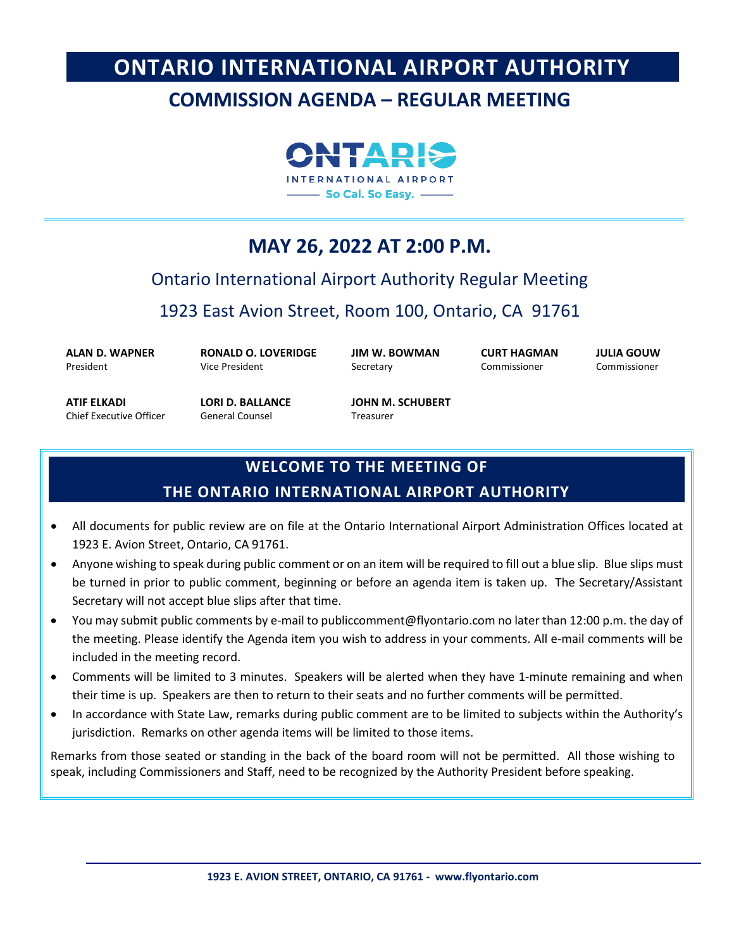# **ONTARIO INTERNATIONAL AIRPORT AUTHORITY**

# **COMMISSION AGENDA – REGULAR MEETING**



# **MAY 26, 2022 AT 2:00 P.M.**

# Ontario International Airport Authority Regular Meeting

1923 East Avion Street, Room 100, Ontario, CA 91761

**ALAN D. WAPNER** President

**RONALD O. LOVERIDGE** Vice President

**JIM W. BOWMAN Secretary** 

**CURT HAGMAN** Commissioner

**JULIA GOUW** Commissioner

**ATIF ELKADI** Chief Executive Officer **LORI D. BALLANCE** General Counsel

**JOHN M. SCHUBERT** Treasurer

# **WELCOME TO THE MEETING OF**

# **THE ONTARIO INTERNATIONAL AIRPORT AUTHORITY**

- All documents for public review are on file at the Ontario International Airport Administration Offices located at 1923 E. Avion Street, Ontario, CA 91761.
- Anyone wishing to speak during public comment or on an item will be required to fill out a blue slip. Blue slips must be turned in prior to public comment, beginning or before an agenda item is taken up. The Secretary/Assistant Secretary will not accept blue slips after that time.
- You may submit public comments by e-mail to publiccomment@flyontario.com no later than 12:00 p.m. the day of the meeting. Please identify the Agenda item you wish to address in your comments. All e-mail comments will be included in the meeting record.
- Comments will be limited to 3 minutes. Speakers will be alerted when they have 1-minute remaining and when their time is up. Speakers are then to return to their seats and no further comments will be permitted.
- In accordance with State Law, remarks during public comment are to be limited to subjects within the Authority's jurisdiction. Remarks on other agenda items will be limited to those items.

Remarks from those seated or standing in the back of the board room will not be permitted. All those wishing to speak, including Commissioners and Staff, need to be recognized by the Authority President before speaking.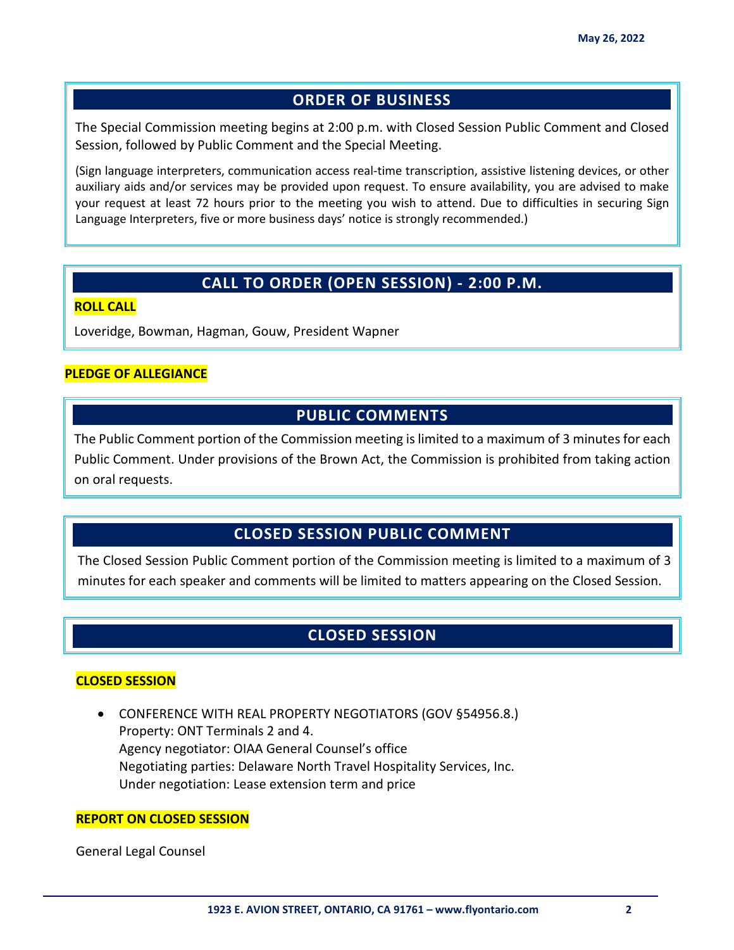# **ORDER OF BUSINESS**

The Special Commission meeting begins at 2:00 p.m. with Closed Session Public Comment and Closed Session, followed by Public Comment and the Special Meeting.

(Sign language interpreters, communication access real-time transcription, assistive listening devices, or other auxiliary aids and/or services may be provided upon request. To ensure availability, you are advised to make your request at least 72 hours prior to the meeting you wish to attend. Due to difficulties in securing Sign Language Interpreters, five or more business days' notice is strongly recommended.)

# **CALL TO ORDER (OPEN SESSION) - 2:00 P.M.**

#### **ROLL CALL**

Loveridge, Bowman, Hagman, Gouw, President Wapner

#### **PLEDGE OF ALLEGIANCE**

# **PUBLIC COMMENTS**

The Public Comment portion of the Commission meeting is limited to a maximum of 3 minutes for each Public Comment. Under provisions of the Brown Act, the Commission is prohibited from taking action on oral requests.

# **CLOSED SESSION PUBLIC COMMENT**

The Closed Session Public Comment portion of the Commission meeting is limited to a maximum of 3 minutes for each speaker and comments will be limited to matters appearing on the Closed Session.

# **CLOSED SESSION**

#### **CLOSED SESSION**

• CONFERENCE WITH REAL PROPERTY NEGOTIATORS (GOV §54956.8.) Property: ONT Terminals 2 and 4. Agency negotiator: OIAA General Counsel's office Negotiating parties: Delaware North Travel Hospitality Services, Inc. Under negotiation: Lease extension term and price

#### **REPORT ON CLOSED SESSION**

General Legal Counsel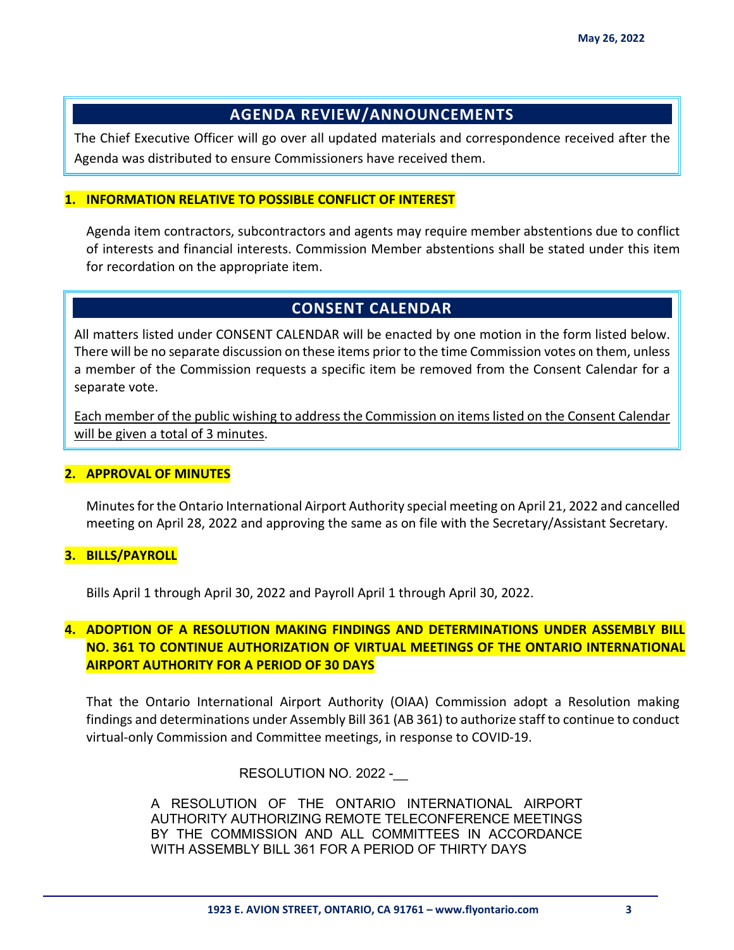# **AGENDA REVIEW/ANNOUNCEMENTS**

The Chief Executive Officer will go over all updated materials and correspondence received after the Agenda was distributed to ensure Commissioners have received them.

#### **1. INFORMATION RELATIVE TO POSSIBLE CONFLICT OF INTEREST**

Agenda item contractors, subcontractors and agents may require member abstentions due to conflict of interests and financial interests. Commission Member abstentions shall be stated under this item for recordation on the appropriate item.

# **CONSENT CALENDAR**

All matters listed under CONSENT CALENDAR will be enacted by one motion in the form listed below. There will be no separate discussion on these items prior to the time Commission votes on them, unless a member of the Commission requests a specific item be removed from the Consent Calendar for a separate vote.

Each member of the public wishing to address the Commission on items listed on the Consent Calendar will be given a total of 3 minutes.

#### **2. APPROVAL OF MINUTES**

Minutes for the Ontario International Airport Authority special meeting on April 21, 2022 and cancelled meeting on April 28, 2022 and approving the same as on file with the Secretary/Assistant Secretary.

### **3. BILLS/PAYROLL**

Bills April 1 through April 30, 2022 and Payroll April 1 through April 30, 2022.

# **4. ADOPTION OF A RESOLUTION MAKING FINDINGS AND DETERMINATIONS UNDER ASSEMBLY BILL NO. 361 TO CONTINUE AUTHORIZATION OF VIRTUAL MEETINGS OF THE ONTARIO INTERNATIONAL AIRPORT AUTHORITY FOR A PERIOD OF 30 DAYS**

That the Ontario International Airport Authority (OIAA) Commission adopt a Resolution making findings and determinations under Assembly Bill 361 (AB 361) to authorize staff to continue to conduct virtual-only Commission and Committee meetings, in response to COVID-19.

### RESOLUTION NO. 2022 -

A RESOLUTION OF THE ONTARIO INTERNATIONAL AIRPORT AUTHORITY AUTHORIZING REMOTE TELECONFERENCE MEETINGS BY THE COMMISSION AND ALL COMMITTEES IN ACCORDANCE WITH ASSEMBLY BILL 361 FOR A PERIOD OF THIRTY DAYS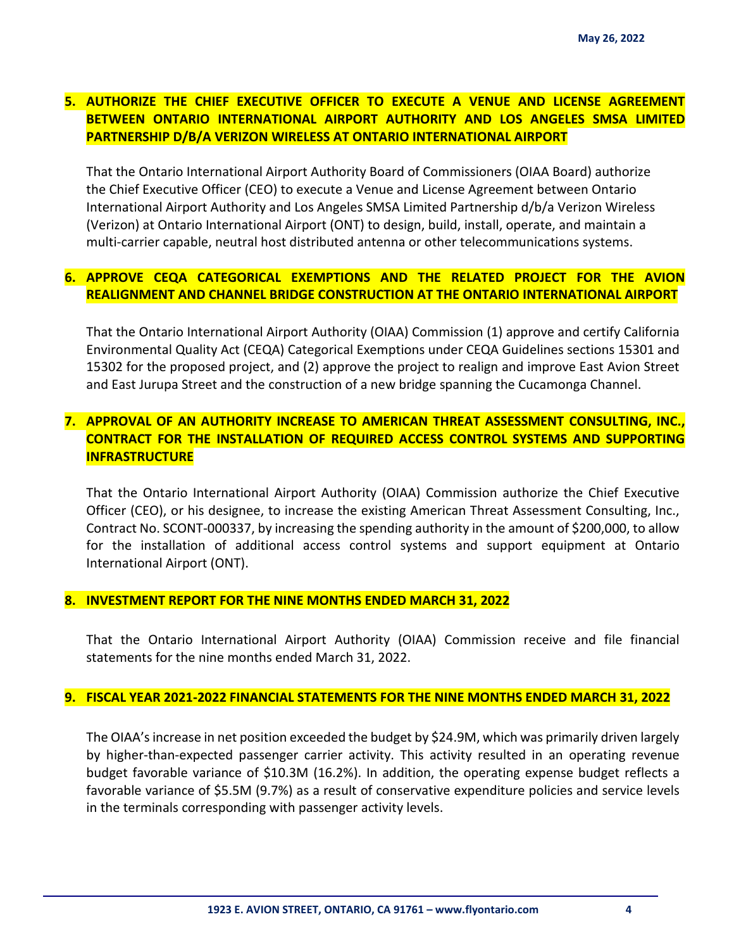# **5. AUTHORIZE THE CHIEF EXECUTIVE OFFICER TO EXECUTE A VENUE AND LICENSE AGREEMENT BETWEEN ONTARIO INTERNATIONAL AIRPORT AUTHORITY AND LOS ANGELES SMSA LIMITED PARTNERSHIP D/B/A VERIZON WIRELESS AT ONTARIO INTERNATIONAL AIRPORT**

That the Ontario International Airport Authority Board of Commissioners (OIAA Board) authorize the Chief Executive Officer (CEO) to execute a Venue and License Agreement between Ontario International Airport Authority and Los Angeles SMSA Limited Partnership d/b/a Verizon Wireless (Verizon) at Ontario International Airport (ONT) to design, build, install, operate, and maintain a multi-carrier capable, neutral host distributed antenna or other telecommunications systems.

# **6. APPROVE CEQA CATEGORICAL EXEMPTIONS AND THE RELATED PROJECT FOR THE AVION REALIGNMENT AND CHANNEL BRIDGE CONSTRUCTION AT THE ONTARIO INTERNATIONAL AIRPORT**

That the Ontario International Airport Authority (OIAA) Commission (1) approve and certify California Environmental Quality Act (CEQA) Categorical Exemptions under CEQA Guidelines sections 15301 and 15302 for the proposed project, and (2) approve the project to realign and improve East Avion Street and East Jurupa Street and the construction of a new bridge spanning the Cucamonga Channel.

# **7. APPROVAL OF AN AUTHORITY INCREASE TO AMERICAN THREAT ASSESSMENT CONSULTING, INC., CONTRACT FOR THE INSTALLATION OF REQUIRED ACCESS CONTROL SYSTEMS AND SUPPORTING INFRASTRUCTURE**

That the Ontario International Airport Authority (OIAA) Commission authorize the Chief Executive Officer (CEO), or his designee, to increase the existing American Threat Assessment Consulting, Inc., Contract No. SCONT-000337, by increasing the spending authority in the amount of \$200,000, to allow for the installation of additional access control systems and support equipment at Ontario International Airport (ONT).

#### **8. INVESTMENT REPORT FOR THE NINE MONTHS ENDED MARCH 31, 2022**

That the Ontario International Airport Authority (OIAA) Commission receive and file financial statements for the nine months ended March 31, 2022.

#### **9. FISCAL YEAR 2021-2022 FINANCIAL STATEMENTS FOR THE NINE MONTHS ENDED MARCH 31, 2022**

The OIAA's increase in net position exceeded the budget by \$24.9M, which was primarily driven largely by higher-than-expected passenger carrier activity. This activity resulted in an operating revenue budget favorable variance of \$10.3M (16.2%). In addition, the operating expense budget reflects a favorable variance of \$5.5M (9.7%) as a result of conservative expenditure policies and service levels in the terminals corresponding with passenger activity levels.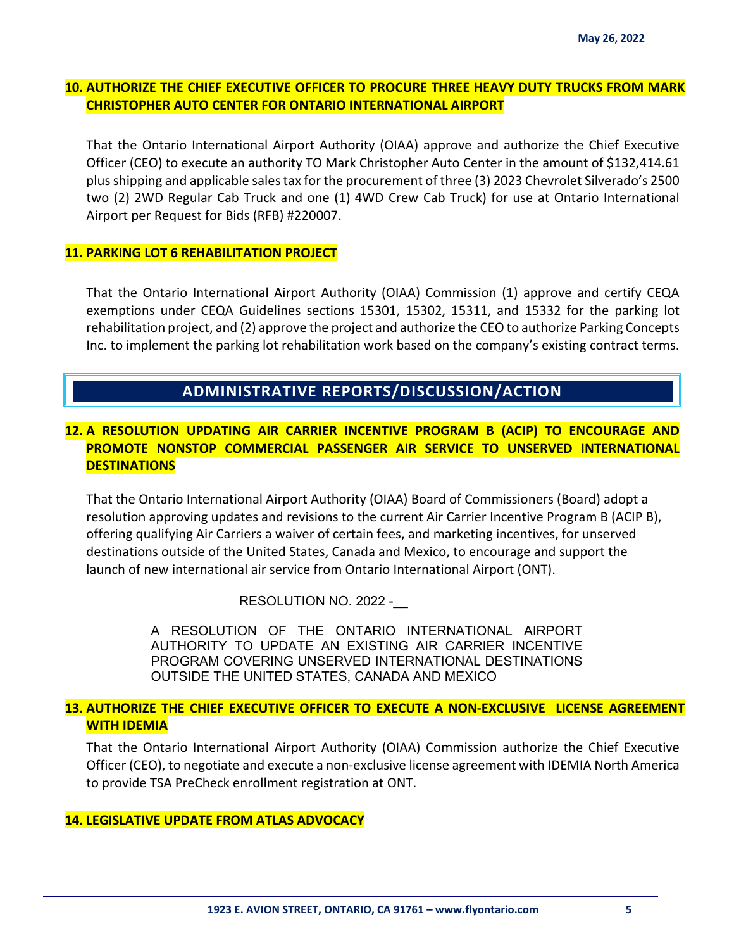## **10. AUTHORIZE THE CHIEF EXECUTIVE OFFICER TO PROCURE THREE HEAVY DUTY TRUCKS FROM MARK CHRISTOPHER AUTO CENTER FOR ONTARIO INTERNATIONAL AIRPORT**

That the Ontario International Airport Authority (OIAA) approve and authorize the Chief Executive Officer (CEO) to execute an authority TO Mark Christopher Auto Center in the amount of \$132,414.61 plus shipping and applicable sales tax for the procurement of three (3) 2023 Chevrolet Silverado's 2500 two (2) 2WD Regular Cab Truck and one (1) 4WD Crew Cab Truck) for use at Ontario International Airport per Request for Bids (RFB) #220007.

#### **11. PARKING LOT 6 REHABILITATION PROJECT**

That the Ontario International Airport Authority (OIAA) Commission (1) approve and certify CEQA exemptions under CEQA Guidelines sections 15301, 15302, 15311, and 15332 for the parking lot rehabilitation project, and (2) approve the project and authorize the CEO to authorize Parking Concepts Inc. to implement the parking lot rehabilitation work based on the company's existing contract terms.

# **ADMINISTRATIVE REPORTS/DISCUSSION/ACTION**

# **12. A RESOLUTION UPDATING AIR CARRIER INCENTIVE PROGRAM B (ACIP) TO ENCOURAGE AND PROMOTE NONSTOP COMMERCIAL PASSENGER AIR SERVICE TO UNSERVED INTERNATIONAL DESTINATIONS**

That the Ontario International Airport Authority (OIAA) Board of Commissioners (Board) adopt a resolution approving updates and revisions to the current Air Carrier Incentive Program B (ACIP B), offering qualifying Air Carriers a waiver of certain fees, and marketing incentives, for unserved destinations outside of the United States, Canada and Mexico, to encourage and support the launch of new international air service from Ontario International Airport (ONT).

RESOLUTION NO. 2022 -

A RESOLUTION OF THE ONTARIO INTERNATIONAL AIRPORT AUTHORITY TO UPDATE AN EXISTING AIR CARRIER INCENTIVE PROGRAM COVERING UNSERVED INTERNATIONAL DESTINATIONS OUTSIDE THE UNITED STATES, CANADA AND MEXICO

### **13. AUTHORIZE THE CHIEF EXECUTIVE OFFICER TO EXECUTE A NON-EXCLUSIVE LICENSE AGREEMENT WITH IDEMIA**

That the Ontario International Airport Authority (OIAA) Commission authorize the Chief Executive Officer (CEO), to negotiate and execute a non-exclusive license agreement with IDEMIA North America to provide TSA PreCheck enrollment registration at ONT.

#### **14. LEGISLATIVE UPDATE FROM ATLAS ADVOCACY**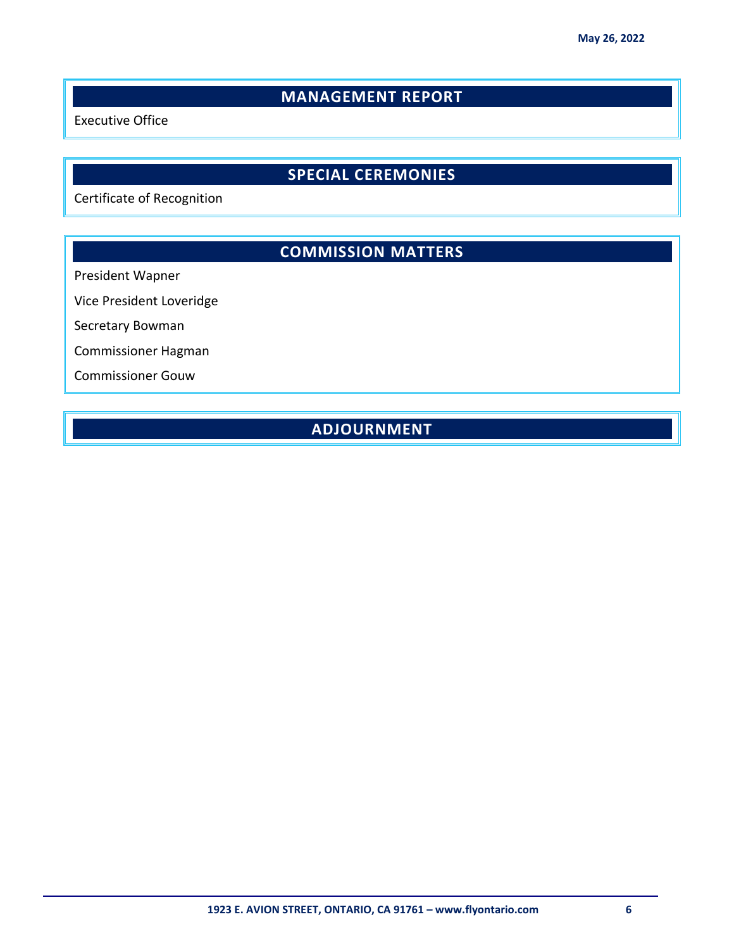# **MANAGEMENT REPORT**

Executive Office

# **SPECIAL CEREMONIES**

Certificate of Recognition

# **COMMISSION MATTERS**

President Wapner

Vice President Loveridge

Secretary Bowman

Commissioner Hagman

Commissioner Gouw

# **ADJOURNMENT**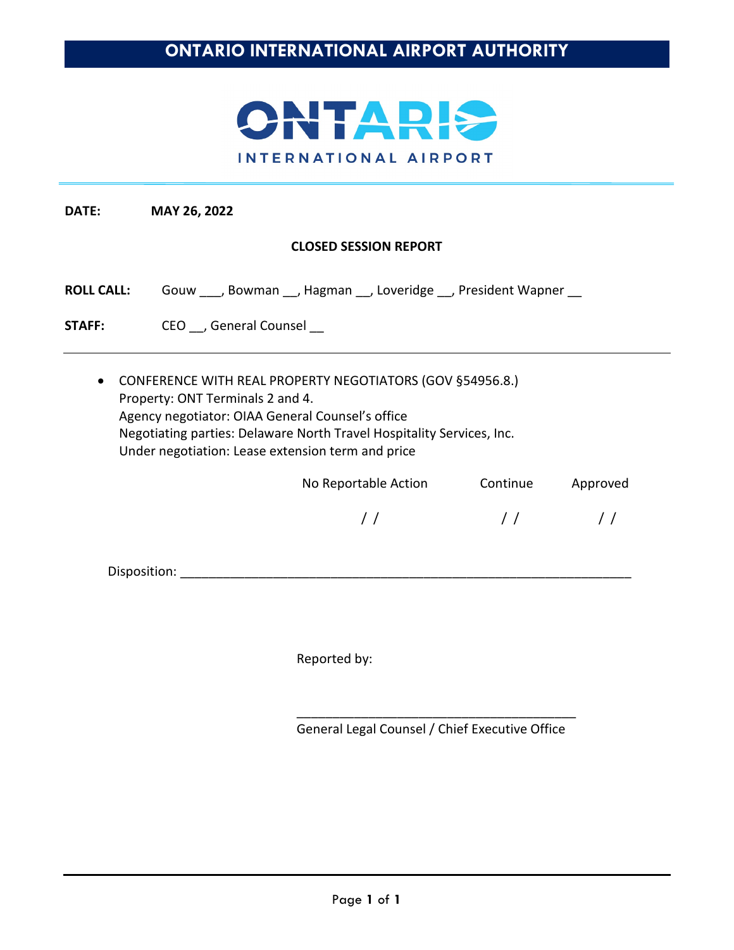

# **CLOSED SESSION REPORT**

| <b>ROLL CALL:</b> | Gouw |  |  |  | _, Bowman ___, Hagman ___, Loveridge ___, President Wapner _ |  |
|-------------------|------|--|--|--|--------------------------------------------------------------|--|
|-------------------|------|--|--|--|--------------------------------------------------------------|--|

STAFF: CEO \_\_, General Counsel \_\_

• CONFERENCE WITH REAL PROPERTY NEGOTIATORS (GOV §54956.8.) Property: ONT Terminals 2 and 4. Agency negotiator: OIAA General Counsel's office Negotiating parties: Delaware North Travel Hospitality Services, Inc. Under negotiation: Lease extension term and price

| No Reportable Action | Continue | Approved      |
|----------------------|----------|---------------|
|                      | $\prime$ | $\frac{1}{2}$ |
|                      |          |               |

Disposition: \_\_\_\_\_\_\_\_\_\_\_\_\_\_\_\_\_\_\_\_\_\_\_\_\_\_\_\_\_\_\_\_\_\_\_\_\_\_\_\_\_\_\_\_\_\_\_\_\_\_\_\_\_\_\_\_\_\_\_\_\_\_\_

Reported by:

\_\_\_\_\_\_\_\_\_\_\_\_\_\_\_\_\_\_\_\_\_\_\_\_\_\_\_\_\_\_\_\_\_\_\_\_\_\_\_ General Legal Counsel / Chief Executive Office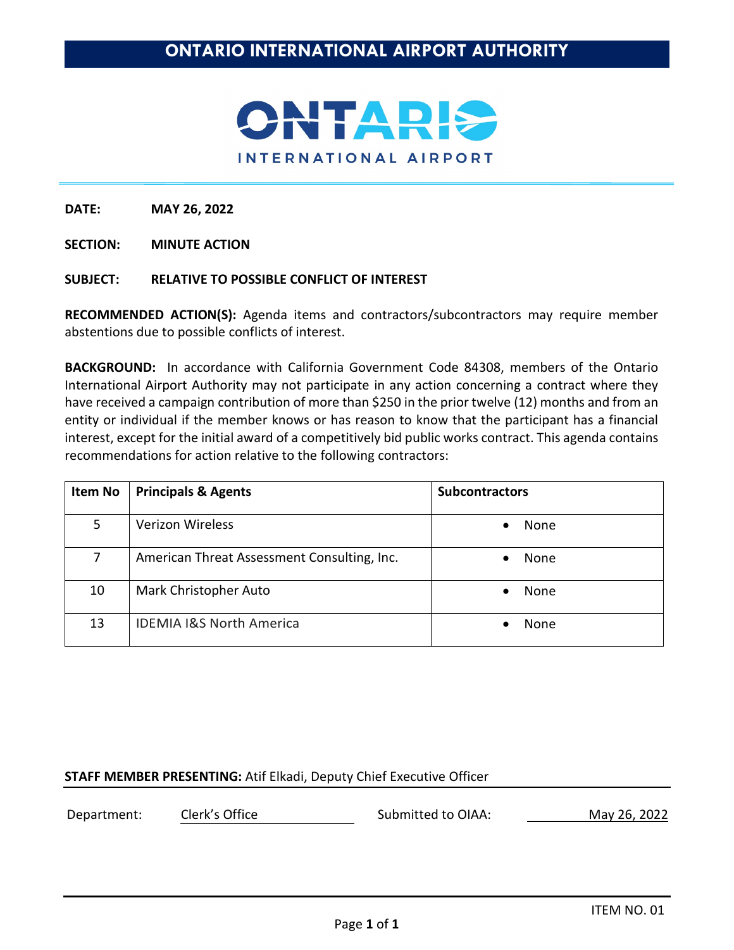

**SECTION: MINUTE ACTION**

#### **SUBJECT: RELATIVE TO POSSIBLE CONFLICT OF INTEREST**

**RECOMMENDED ACTION(S):** Agenda items and contractors/subcontractors may require member abstentions due to possible conflicts of interest.

**BACKGROUND:** In accordance with California Government Code 84308, members of the Ontario International Airport Authority may not participate in any action concerning a contract where they have received a campaign contribution of more than \$250 in the prior twelve (12) months and from an entity or individual if the member knows or has reason to know that the participant has a financial interest, except for the initial award of a competitively bid public works contract. This agenda contains recommendations for action relative to the following contractors:

| <b>Item No</b> | <b>Principals &amp; Agents</b>              | <b>Subcontractors</b> |
|----------------|---------------------------------------------|-----------------------|
| 5              | <b>Verizon Wireless</b>                     | None<br>$\bullet$     |
| 7              | American Threat Assessment Consulting, Inc. | None<br>$\bullet$     |
| 10             | Mark Christopher Auto                       | None                  |
| 13             | <b>IDEMIA I&amp;S North America</b>         | None                  |

### **STAFF MEMBER PRESENTING:** Atif Elkadi, Deputy Chief Executive Officer

Department: Clerk's Office Submitted to OIAA: May 26, 2022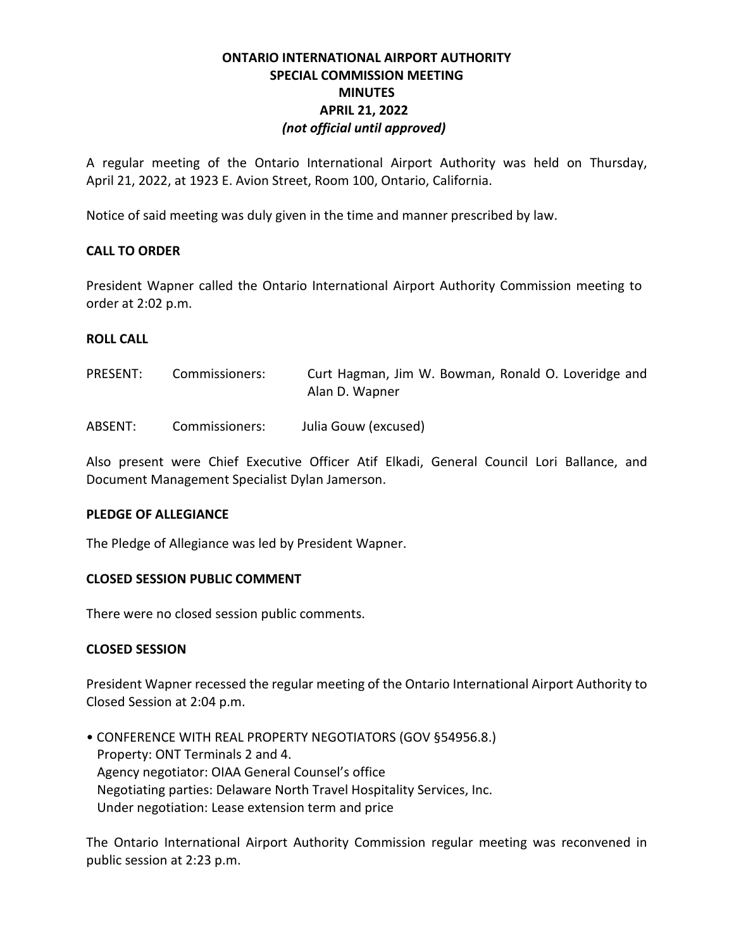# **ONTARIO INTERNATIONAL AIRPORT AUTHORITY SPECIAL COMMISSION MEETING MINUTES APRIL 21, 2022** *(not official until approved)*

A regular meeting of the Ontario International Airport Authority was held on Thursday, April 21, 2022, at 1923 E. Avion Street, Room 100, Ontario, California.

Notice of said meeting was duly given in the time and manner prescribed by law.

# **CALL TO ORDER**

President Wapner called the Ontario International Airport Authority Commission meeting to order at 2:02 p.m.

### **ROLL CALL**

| PRESENT: | Commissioners: | Curt Hagman, Jim W. Bowman, Ronald O. Loveridge and<br>Alan D. Wapner |
|----------|----------------|-----------------------------------------------------------------------|
| ABSENT:  | Commissioners: | Julia Gouw (excused)                                                  |

Also present were Chief Executive Officer Atif Elkadi, General Council Lori Ballance, and Document Management Specialist Dylan Jamerson.

### **PLEDGE OF ALLEGIANCE**

The Pledge of Allegiance was led by President Wapner.

### **CLOSED SESSION PUBLIC COMMENT**

There were no closed session public comments.

### **CLOSED SESSION**

President Wapner recessed the regular meeting of the Ontario International Airport Authority to Closed Session at 2:04 p.m.

• CONFERENCE WITH REAL PROPERTY NEGOTIATORS (GOV §54956.8.) Property: ONT Terminals 2 and 4. Agency negotiator: OIAA General Counsel's office Negotiating parties: Delaware North Travel Hospitality Services, Inc. Under negotiation: Lease extension term and price

The Ontario International Airport Authority Commission regular meeting was reconvened in public session at 2:23 p.m.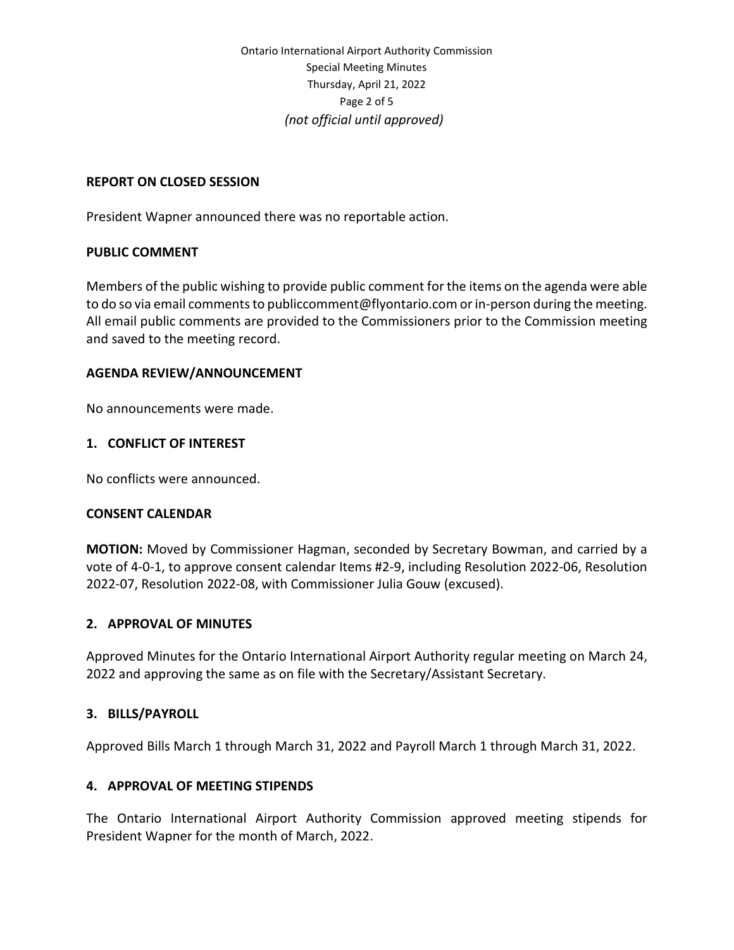Ontario International Airport Authority Commission Special Meeting Minutes Thursday, April 21, 2022 Page 2 of 5 *(not official until approved)* 

#### **REPORT ON CLOSED SESSION**

President Wapner announced there was no reportable action.

#### **PUBLIC COMMENT**

Members of the public wishing to provide public comment for the items on the agenda were able to do so via email comments t[o publiccomment@flyontario.com](mailto:publiccomment@flyontario.com) or in-person during the meeting. All email public comments are provided to the Commissioners prior to the Commission meeting and saved to the meeting record.

### **AGENDA REVIEW/ANNOUNCEMENT**

No announcements were made.

#### **1. CONFLICT OF INTEREST**

No conflicts were announced.

#### **CONSENT CALENDAR**

**MOTION:** Moved by Commissioner Hagman, seconded by Secretary Bowman, and carried by a vote of 4-0-1, to approve consent calendar Items #2-9, including Resolution 2022-06, Resolution 2022-07, Resolution 2022-08, with Commissioner Julia Gouw (excused).

### **2. APPROVAL OF MINUTES**

Approved Minutes for the Ontario International Airport Authority regular meeting on March 24, 2022 and approving the same as on file with the Secretary/Assistant Secretary.

#### **3. BILLS/PAYROLL**

Approved Bills March 1 through March 31, 2022 and Payroll March 1 through March 31, 2022.

### **4. APPROVAL OF MEETING STIPENDS**

The Ontario International Airport Authority Commission approved meeting stipends for President Wapner for the month of March, 2022.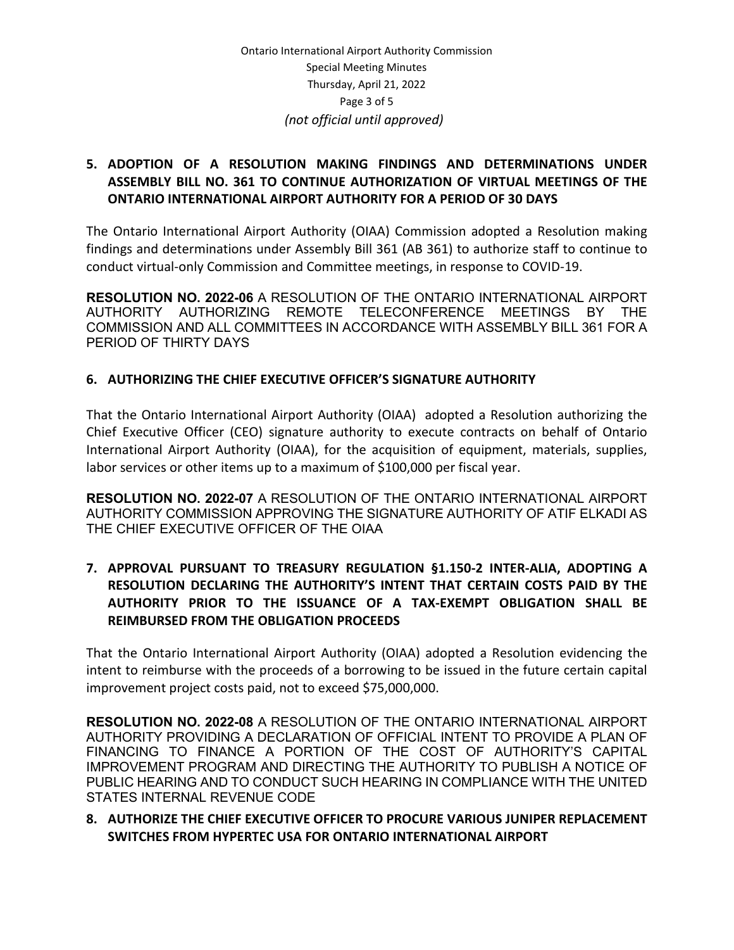# **5. ADOPTION OF A RESOLUTION MAKING FINDINGS AND DETERMINATIONS UNDER ASSEMBLY BILL NO. 361 TO CONTINUE AUTHORIZATION OF VIRTUAL MEETINGS OF THE ONTARIO INTERNATIONAL AIRPORT AUTHORITY FOR A PERIOD OF 30 DAYS**

The Ontario International Airport Authority (OIAA) Commission adopted a Resolution making findings and determinations under Assembly Bill 361 (AB 361) to authorize staff to continue to conduct virtual-only Commission and Committee meetings, in response to COVID-19.

**RESOLUTION NO. 2022-06** A RESOLUTION OF THE ONTARIO INTERNATIONAL AIRPORT AUTHORITY AUTHORIZING REMOTE TELECONFERENCE MEETINGS BY THE COMMISSION AND ALL COMMITTEES IN ACCORDANCE WITH ASSEMBLY BILL 361 FOR A PERIOD OF THIRTY DAYS

# **6. AUTHORIZING THE CHIEF EXECUTIVE OFFICER'S SIGNATURE AUTHORITY**

That the Ontario International Airport Authority (OIAA) adopted a Resolution authorizing the Chief Executive Officer (CEO) signature authority to execute contracts on behalf of Ontario International Airport Authority (OIAA), for the acquisition of equipment, materials, supplies, labor services or other items up to a maximum of \$100,000 per fiscal year.

**RESOLUTION NO. 2022-07** A RESOLUTION OF THE ONTARIO INTERNATIONAL AIRPORT AUTHORITY COMMISSION APPROVING THE SIGNATURE AUTHORITY OF ATIF ELKADI AS THE CHIEF EXECUTIVE OFFICER OF THE OIAA

# **7. APPROVAL PURSUANT TO TREASURY REGULATION §1.150-2 INTER-ALIA, ADOPTING A RESOLUTION DECLARING THE AUTHORITY'S INTENT THAT CERTAIN COSTS PAID BY THE AUTHORITY PRIOR TO THE ISSUANCE OF A TAX-EXEMPT OBLIGATION SHALL BE REIMBURSED FROM THE OBLIGATION PROCEEDS**

That the Ontario International Airport Authority (OIAA) adopted a Resolution evidencing the intent to reimburse with the proceeds of a borrowing to be issued in the future certain capital improvement project costs paid, not to exceed \$75,000,000.

**RESOLUTION NO. 2022-08** A RESOLUTION OF THE ONTARIO INTERNATIONAL AIRPORT AUTHORITY PROVIDING A DECLARATION OF OFFICIAL INTENT TO PROVIDE A PLAN OF FINANCING TO FINANCE A PORTION OF THE COST OF AUTHORITY'S CAPITAL IMPROVEMENT PROGRAM AND DIRECTING THE AUTHORITY TO PUBLISH A NOTICE OF PUBLIC HEARING AND TO CONDUCT SUCH HEARING IN COMPLIANCE WITH THE UNITED STATES INTERNAL REVENUE CODE

# **8. AUTHORIZE THE CHIEF EXECUTIVE OFFICER TO PROCURE VARIOUS JUNIPER REPLACEMENT SWITCHES FROM HYPERTEC USA FOR ONTARIO INTERNATIONAL AIRPORT**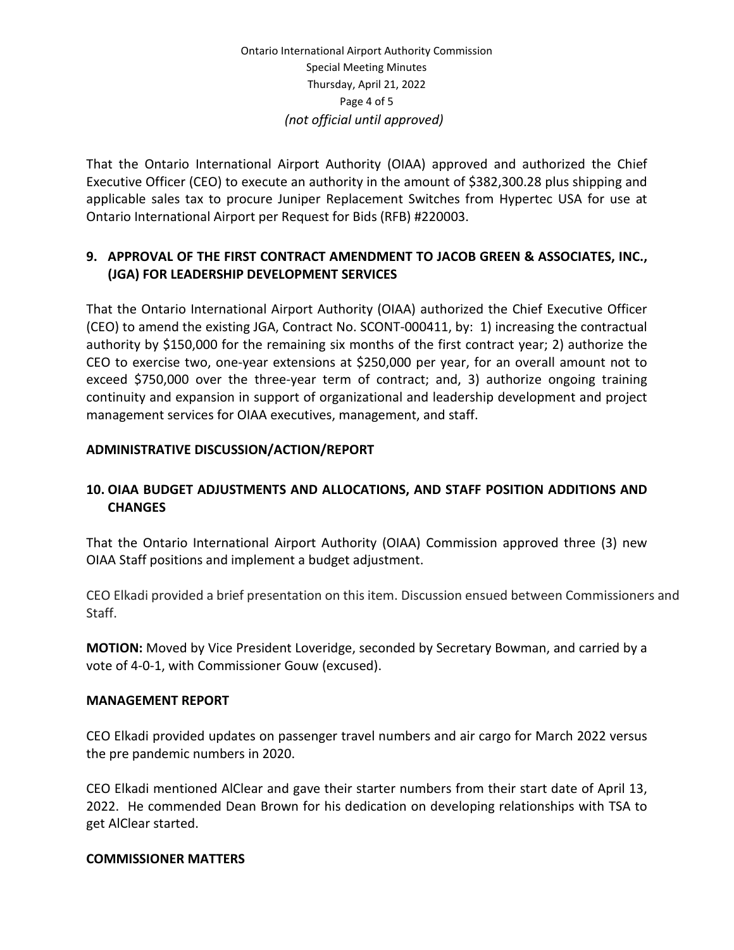That the Ontario International Airport Authority (OIAA) approved and authorized the Chief Executive Officer (CEO) to execute an authority in the amount of \$382,300.28 plus shipping and applicable sales tax to procure Juniper Replacement Switches from Hypertec USA for use at Ontario International Airport per Request for Bids (RFB) #220003.

# **9. APPROVAL OF THE FIRST CONTRACT AMENDMENT TO JACOB GREEN & ASSOCIATES, INC., (JGA) FOR LEADERSHIP DEVELOPMENT SERVICES**

That the Ontario International Airport Authority (OIAA) authorized the Chief Executive Officer (CEO) to amend the existing JGA, Contract No. SCONT-000411, by: 1) increasing the contractual authority by \$150,000 for the remaining six months of the first contract year; 2) authorize the CEO to exercise two, one-year extensions at \$250,000 per year, for an overall amount not to exceed \$750,000 over the three-year term of contract; and, 3) authorize ongoing training continuity and expansion in support of organizational and leadership development and project management services for OIAA executives, management, and staff.

# **ADMINISTRATIVE DISCUSSION/ACTION/REPORT**

# **10. OIAA BUDGET ADJUSTMENTS AND ALLOCATIONS, AND STAFF POSITION ADDITIONS AND CHANGES**

That the Ontario International Airport Authority (OIAA) Commission approved three (3) new OIAA Staff positions and implement a budget adjustment.

CEO Elkadi provided a brief presentation on this item. Discussion ensued between Commissioners and Staff.

**MOTION:** Moved by Vice President Loveridge, seconded by Secretary Bowman, and carried by a vote of 4-0-1, with Commissioner Gouw (excused).

### **MANAGEMENT REPORT**

CEO Elkadi provided updates on passenger travel numbers and air cargo for March 2022 versus the pre pandemic numbers in 2020.

CEO Elkadi mentioned AlClear and gave their starter numbers from their start date of April 13, 2022. He commended Dean Brown for his dedication on developing relationships with TSA to get AlClear started.

#### **COMMISSIONER MATTERS**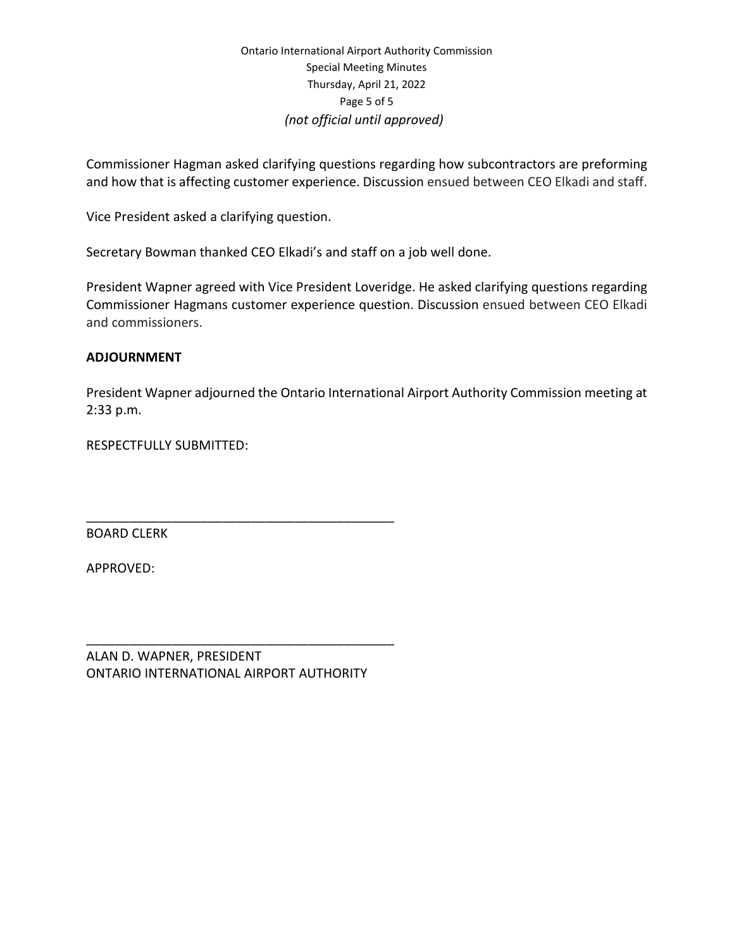Commissioner Hagman asked clarifying questions regarding how subcontractors are preforming and how that is affecting customer experience. Discussion ensued between CEO Elkadi and staff.

Vice President asked a clarifying question.

Secretary Bowman thanked CEO Elkadi's and staff on a job well done.

President Wapner agreed with Vice President Loveridge. He asked clarifying questions regarding Commissioner Hagmans customer experience question. Discussion ensued between CEO Elkadi and commissioners.

### **ADJOURNMENT**

President Wapner adjourned the Ontario International Airport Authority Commission meeting at 2:33 p.m.

RESPECTFULLY SUBMITTED:

BOARD CLERK

APPROVED:

ALAN D. WAPNER, PRESIDENT ONTARIO INTERNATIONAL AIRPORT AUTHORITY

\_\_\_\_\_\_\_\_\_\_\_\_\_\_\_\_\_\_\_\_\_\_\_\_\_\_\_\_\_\_\_\_\_\_\_\_\_\_\_\_\_\_\_

\_\_\_\_\_\_\_\_\_\_\_\_\_\_\_\_\_\_\_\_\_\_\_\_\_\_\_\_\_\_\_\_\_\_\_\_\_\_\_\_\_\_\_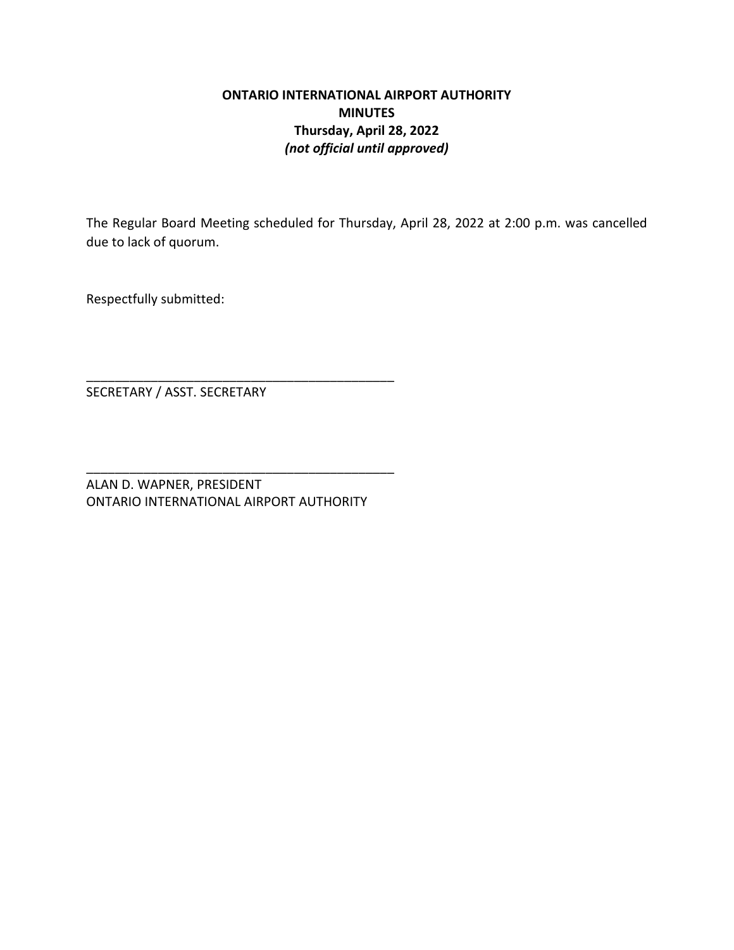# **ONTARIO INTERNATIONAL AIRPORT AUTHORITY MINUTES Thursday, April 28, 2022** *(not official until approved)*

The Regular Board Meeting scheduled for Thursday, April 28, 2022 at 2:00 p.m. was cancelled due to lack of quorum.

Respectfully submitted:

SECRETARY / ASST. SECRETARY

ALAN D. WAPNER, PRESIDENT ONTARIO INTERNATIONAL AIRPORT AUTHORITY

\_\_\_\_\_\_\_\_\_\_\_\_\_\_\_\_\_\_\_\_\_\_\_\_\_\_\_\_\_\_\_\_\_\_\_\_\_\_\_\_\_\_\_

\_\_\_\_\_\_\_\_\_\_\_\_\_\_\_\_\_\_\_\_\_\_\_\_\_\_\_\_\_\_\_\_\_\_\_\_\_\_\_\_\_\_\_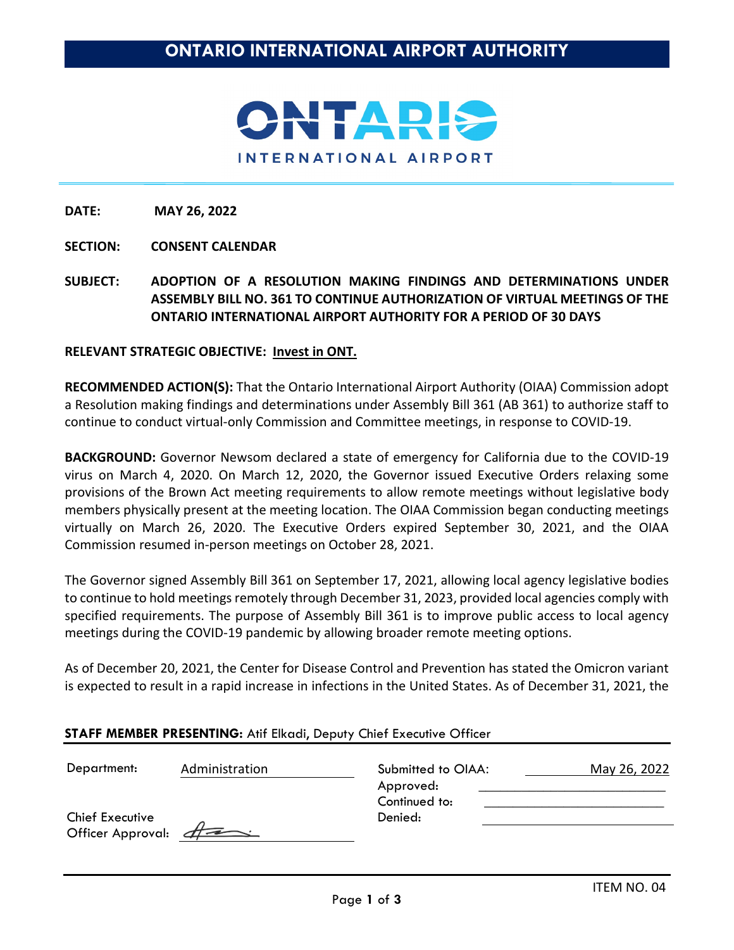

**SECTION: CONSENT CALENDAR**

**SUBJECT: ADOPTION OF A RESOLUTION MAKING FINDINGS AND DETERMINATIONS UNDER ASSEMBLY BILL NO. 361 TO CONTINUE AUTHORIZATION OF VIRTUAL MEETINGS OF THE ONTARIO INTERNATIONAL AIRPORT AUTHORITY FOR A PERIOD OF 30 DAYS**

**RELEVANT STRATEGIC OBJECTIVE: Invest in ONT.**

**RECOMMENDED ACTION(S):** That the Ontario International Airport Authority (OIAA) Commission adopt a Resolution making findings and determinations under Assembly Bill 361 (AB 361) to authorize staff to continue to conduct virtual-only Commission and Committee meetings, in response to COVID-19.

**BACKGROUND:** Governor Newsom declared a state of emergency for California due to the COVID-19 virus on March 4, 2020. On March 12, 2020, the Governor issued Executive Orders relaxing some provisions of the Brown Act meeting requirements to allow remote meetings without legislative body members physically present at the meeting location. The OIAA Commission began conducting meetings virtually on March 26, 2020. The Executive Orders expired September 30, 2021, and the OIAA Commission resumed in-person meetings on October 28, 2021.

The Governor signed Assembly Bill 361 on September 17, 2021, allowing local agency legislative bodies to continue to hold meetings remotely through December 31, 2023, provided local agencies comply with specified requirements. The purpose of Assembly Bill 361 is to improve public access to local agency meetings during the COVID-19 pandemic by allowing broader remote meeting options.

As of December 20, 2021, the Center for Disease Control and Prevention has stated the Omicron variant is expected to result in a rapid increase in infections in the United States. As of December 31, 2021, the

### **STAFF MEMBER PRESENTING:** Atif Elkadi, Deputy Chief Executive Officer

| Department:                                   | Administration | Submitted to OIAA:<br>Approved: | May 26, 2022 |
|-----------------------------------------------|----------------|---------------------------------|--------------|
| <b>Chief Executive</b><br>Officer Approval: A |                | Continued to:<br>Denied:        |              |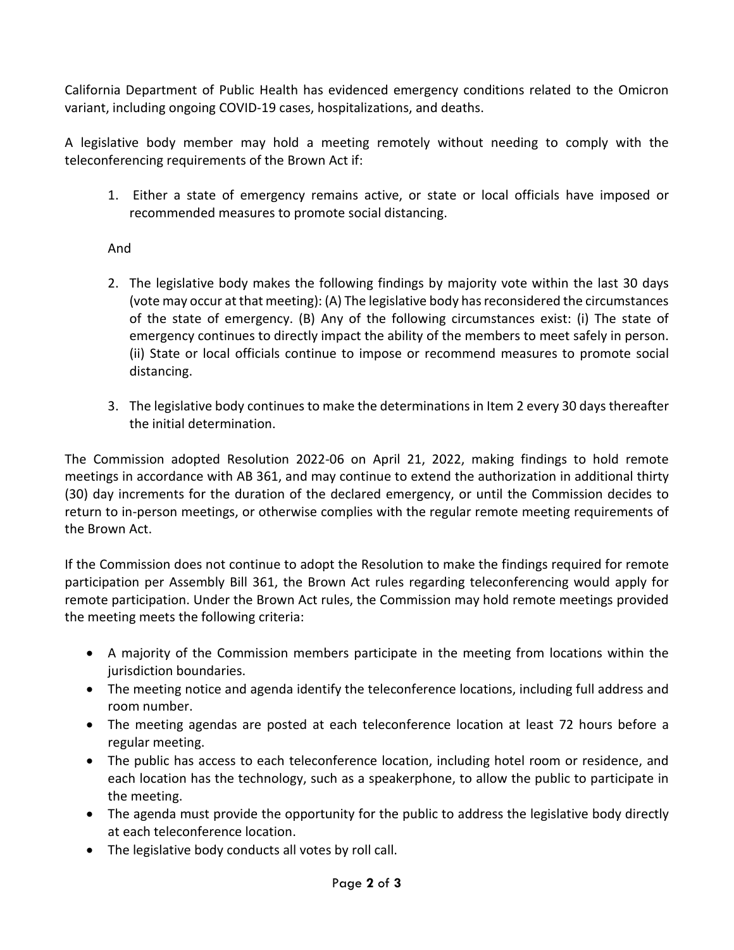California Department of Public Health has evidenced emergency conditions related to the Omicron variant, including ongoing COVID-19 cases, hospitalizations, and deaths.

A legislative body member may hold a meeting remotely without needing to comply with the teleconferencing requirements of the Brown Act if:

1. Either a state of emergency remains active, or state or local officials have imposed or recommended measures to promote social distancing.

# And

- 2. The legislative body makes the following findings by majority vote within the last 30 days (vote may occur at that meeting): (A) The legislative body has reconsidered the circumstances of the state of emergency. (B) Any of the following circumstances exist: (i) The state of emergency continues to directly impact the ability of the members to meet safely in person. (ii) State or local officials continue to impose or recommend measures to promote social distancing.
- 3. The legislative body continues to make the determinations in Item 2 every 30 days thereafter the initial determination.

The Commission adopted Resolution 2022-06 on April 21, 2022, making findings to hold remote meetings in accordance with AB 361, and may continue to extend the authorization in additional thirty (30) day increments for the duration of the declared emergency, or until the Commission decides to return to in-person meetings, or otherwise complies with the regular remote meeting requirements of the Brown Act.

If the Commission does not continue to adopt the Resolution to make the findings required for remote participation per Assembly Bill 361, the Brown Act rules regarding teleconferencing would apply for remote participation. Under the Brown Act rules, the Commission may hold remote meetings provided the meeting meets the following criteria:

- A majority of the Commission members participate in the meeting from locations within the jurisdiction boundaries.
- The meeting notice and agenda identify the teleconference locations, including full address and room number.
- The meeting agendas are posted at each teleconference location at least 72 hours before a regular meeting.
- The public has access to each teleconference location, including hotel room or residence, and each location has the technology, such as a speakerphone, to allow the public to participate in the meeting.
- The agenda must provide the opportunity for the public to address the legislative body directly at each teleconference location.
- The legislative body conducts all votes by roll call.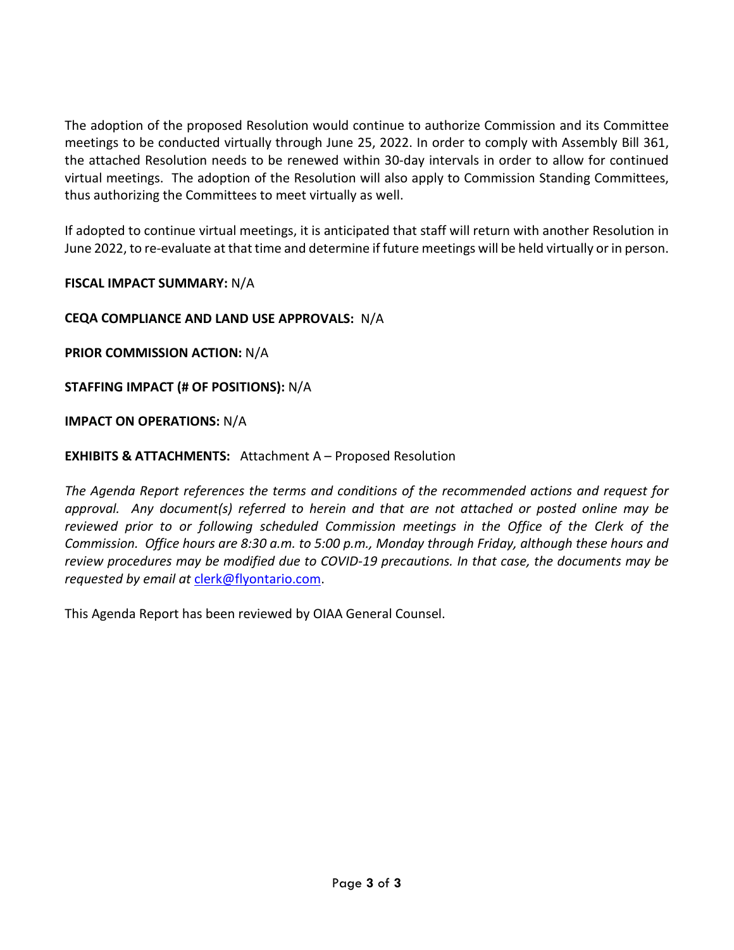The adoption of the proposed Resolution would continue to authorize Commission and its Committee meetings to be conducted virtually through June 25, 2022. In order to comply with Assembly Bill 361, the attached Resolution needs to be renewed within 30-day intervals in order to allow for continued virtual meetings. The adoption of the Resolution will also apply to Commission Standing Committees, thus authorizing the Committees to meet virtually as well.

If adopted to continue virtual meetings, it is anticipated that staff will return with another Resolution in June 2022, to re-evaluate at that time and determine if future meetings will be held virtually or in person.

**FISCAL IMPACT SUMMARY:** N/A

**CEQA COMPLIANCE AND LAND USE APPROVALS:** N/A

**PRIOR COMMISSION ACTION:** N/A

**STAFFING IMPACT (# OF POSITIONS):** N/A

**IMPACT ON OPERATIONS:** N/A

**EXHIBITS & ATTACHMENTS:** Attachment A – Proposed Resolution

*The Agenda Report references the terms and conditions of the recommended actions and request for approval. Any document(s) referred to herein and that are not attached or posted online may be reviewed prior to or following scheduled Commission meetings in the Office of the Clerk of the Commission. Office hours are 8:30 a.m. to 5:00 p.m., Monday through Friday, although these hours and review procedures may be modified due to COVID-19 precautions. In that case, the documents may be requested by email at* [clerk@flyontario.com.](mailto:clerk@flyontario.com)

This Agenda Report has been reviewed by OIAA General Counsel.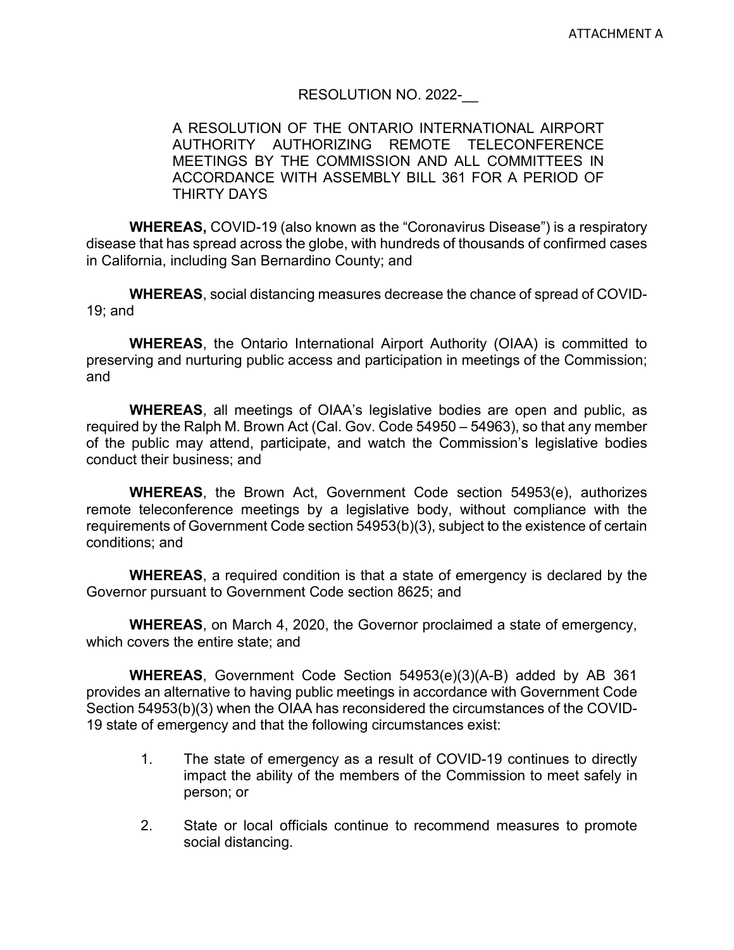# RESOLUTION NO. 2022-

# A RESOLUTION OF THE ONTARIO INTERNATIONAL AIRPORT AUTHORITY AUTHORIZING REMOTE TELECONFERENCE MEETINGS BY THE COMMISSION AND ALL COMMITTEES IN ACCORDANCE WITH ASSEMBLY BILL 361 FOR A PERIOD OF THIRTY DAYS

**WHEREAS,** COVID-19 (also known as the "Coronavirus Disease") is a respiratory disease that has spread across the globe, with hundreds of thousands of confirmed cases in California, including San Bernardino County; and

**WHEREAS**, social distancing measures decrease the chance of spread of COVID-19; and

**WHEREAS**, the Ontario International Airport Authority (OIAA) is committed to preserving and nurturing public access and participation in meetings of the Commission; and

**WHEREAS**, all meetings of OIAA's legislative bodies are open and public, as required by the Ralph M. Brown Act (Cal. Gov. Code 54950 – 54963), so that any member of the public may attend, participate, and watch the Commission's legislative bodies conduct their business; and

**WHEREAS**, the Brown Act, Government Code section 54953(e), authorizes remote teleconference meetings by a legislative body, without compliance with the requirements of Government Code section 54953(b)(3), subject to the existence of certain conditions; and

**WHEREAS**, a required condition is that a state of emergency is declared by the Governor pursuant to Government Code section 8625; and

**WHEREAS**, on March 4, 2020, the Governor proclaimed a state of emergency, which covers the entire state; and

**WHEREAS**, Government Code Section 54953(e)(3)(A-B) added by AB 361 provides an alternative to having public meetings in accordance with Government Code Section 54953(b)(3) when the OIAA has reconsidered the circumstances of the COVID-19 state of emergency and that the following circumstances exist:

- 1. The state of emergency as a result of COVID-19 continues to directly impact the ability of the members of the Commission to meet safely in person; or
- 2. State or local officials continue to recommend measures to promote social distancing.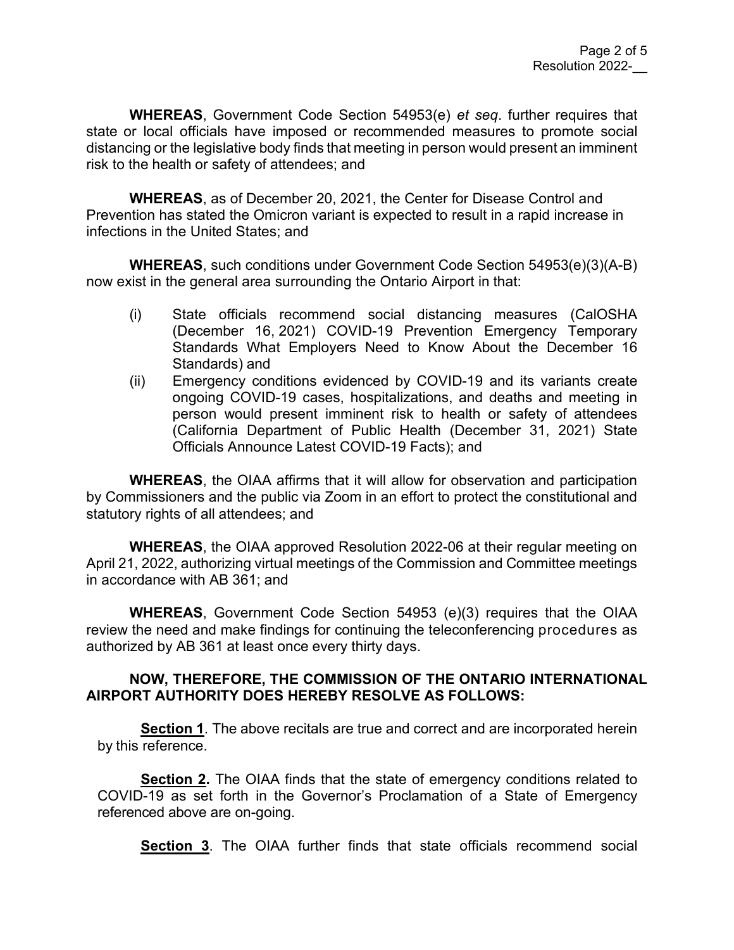**WHEREAS**, Government Code Section 54953(e) *et seq*. further requires that state or local officials have imposed or recommended measures to promote social distancing or the legislative body finds that meeting in person would present an imminent risk to the health or safety of attendees; and

**WHEREAS**, as of December 20, 2021, the Center for Disease Control and Prevention has stated the Omicron variant is expected to result in a rapid increase in infections in the United States; and

**WHEREAS**, such conditions under Government Code Section 54953(e)(3)(A-B) now exist in the general area surrounding the Ontario Airport in that:

- (i) State officials recommend social distancing measures (CalOSHA (December 16, 2021) COVID-19 Prevention Emergency Temporary Standards What Employers Need to Know About the December 16 Standards) and
- (ii) Emergency conditions evidenced by COVID-19 and its variants create ongoing COVID-19 cases, hospitalizations, and deaths and meeting in person would present imminent risk to health or safety of attendees (California Department of Public Health (December 31, 2021) State Officials Announce Latest COVID-19 Facts); and

**WHEREAS**, the OIAA affirms that it will allow for observation and participation by Commissioners and the public via Zoom in an effort to protect the constitutional and statutory rights of all attendees; and

**WHEREAS**, the OIAA approved Resolution 2022-06 at their regular meeting on April 21, 2022, authorizing virtual meetings of the Commission and Committee meetings in accordance with AB 361; and

**WHEREAS**, Government Code Section 54953 (e)(3) requires that the OIAA review the need and make findings for continuing the teleconferencing procedures as authorized by AB 361 at least once every thirty days.

# **NOW, THEREFORE, THE COMMISSION OF THE ONTARIO INTERNATIONAL AIRPORT AUTHORITY DOES HEREBY RESOLVE AS FOLLOWS:**

**Section 1**. The above recitals are true and correct and are incorporated herein by this reference.

**Section 2.** The OIAA finds that the state of emergency conditions related to COVID-19 as set forth in the Governor's Proclamation of a State of Emergency referenced above are on-going.

**Section 3**. The OIAA further finds that state officials recommend social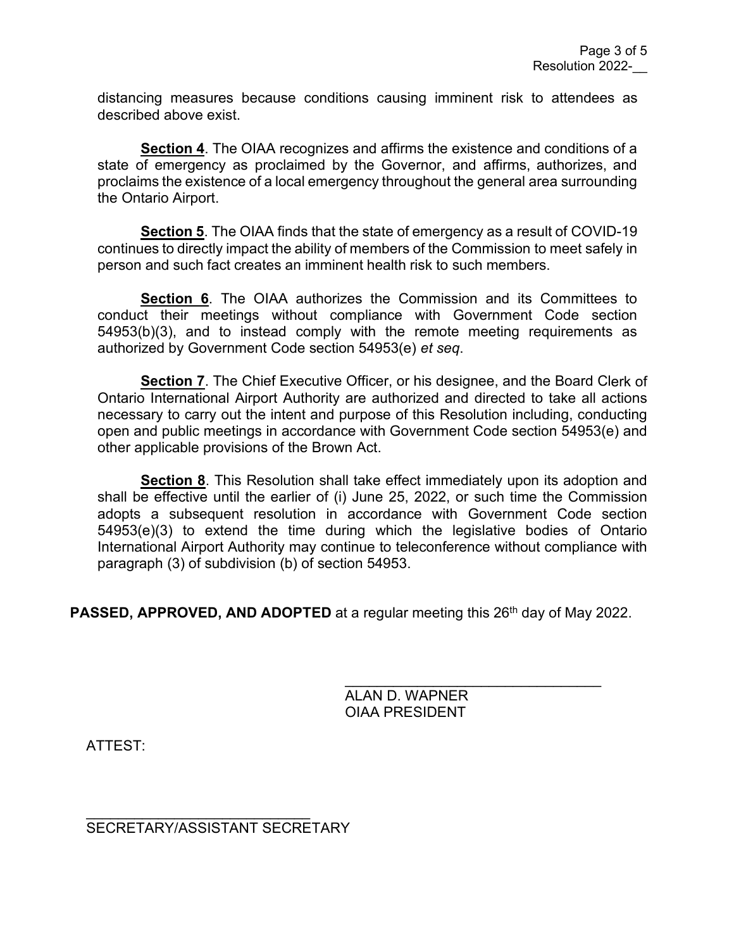distancing measures because conditions causing imminent risk to attendees as described above exist.

**Section 4**. The OIAA recognizes and affirms the existence and conditions of a state of emergency as proclaimed by the Governor, and affirms, authorizes, and proclaims the existence of a local emergency throughout the general area surrounding the Ontario Airport.

**Section 5**. The OIAA finds that the state of emergency as a result of COVID-19 continues to directly impact the ability of members of the Commission to meet safely in person and such fact creates an imminent health risk to such members.

**Section 6**. The OIAA authorizes the Commission and its Committees to conduct their meetings without compliance with Government Code section 54953(b)(3), and to instead comply with the remote meeting requirements as authorized by Government Code section 54953(e) *et seq*.

**Section 7**. The Chief Executive Officer, or his designee, and the Board Clerk of Ontario International Airport Authority are authorized and directed to take all actions necessary to carry out the intent and purpose of this Resolution including, conducting open and public meetings in accordance with Government Code section 54953(e) and other applicable provisions of the Brown Act.

**Section 8**. This Resolution shall take effect immediately upon its adoption and shall be effective until the earlier of (i) June 25, 2022, or such time the Commission adopts a subsequent resolution in accordance with Government Code section 54953(e)(3) to extend the time during which the legislative bodies of Ontario International Airport Authority may continue to teleconference without compliance with paragraph (3) of subdivision (b) of section 54953.

**PASSED, APPROVED, AND ADOPTED** at a regular meeting this 26<sup>th</sup> day of May 2022.

\_\_\_\_\_\_\_\_\_\_\_\_\_\_\_\_\_\_\_\_\_\_\_\_\_\_\_\_\_\_\_\_ ALAN D. WAPNER OIAA PRESIDENT

ATTEST:

\_\_\_\_\_\_\_\_\_\_\_\_\_\_\_\_\_\_\_\_\_\_\_\_\_\_\_\_ SECRETARY/ASSISTANT SECRETARY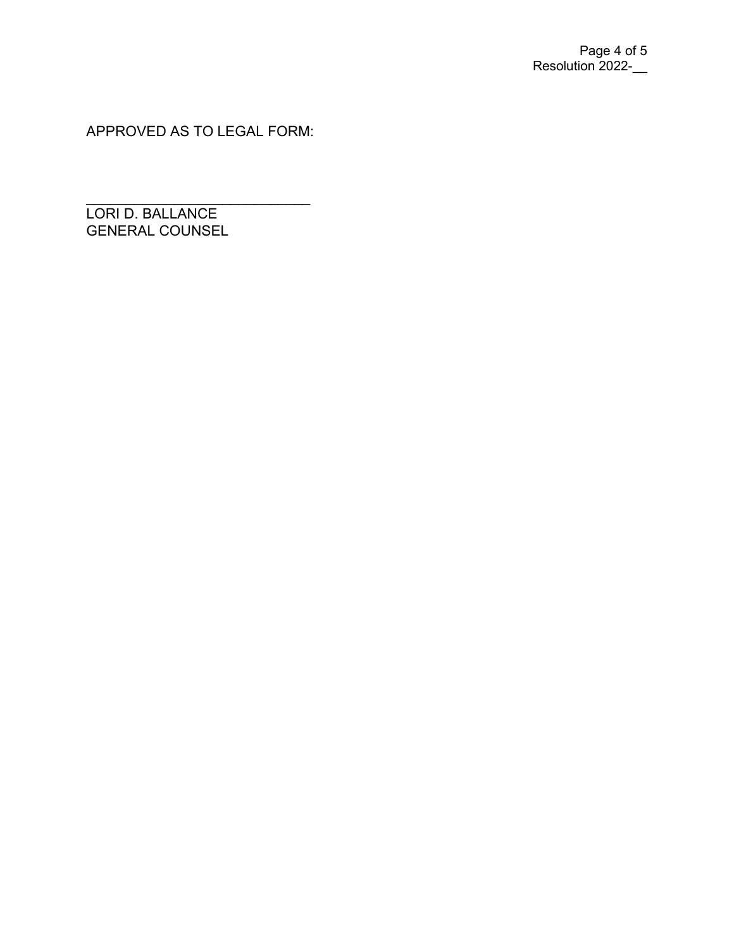APPROVED AS TO LEGAL FORM:

\_\_\_\_\_\_\_\_\_\_\_\_\_\_\_\_\_\_\_\_\_\_\_\_\_\_\_\_ LORI D. BALLANCE GENERAL COUNSEL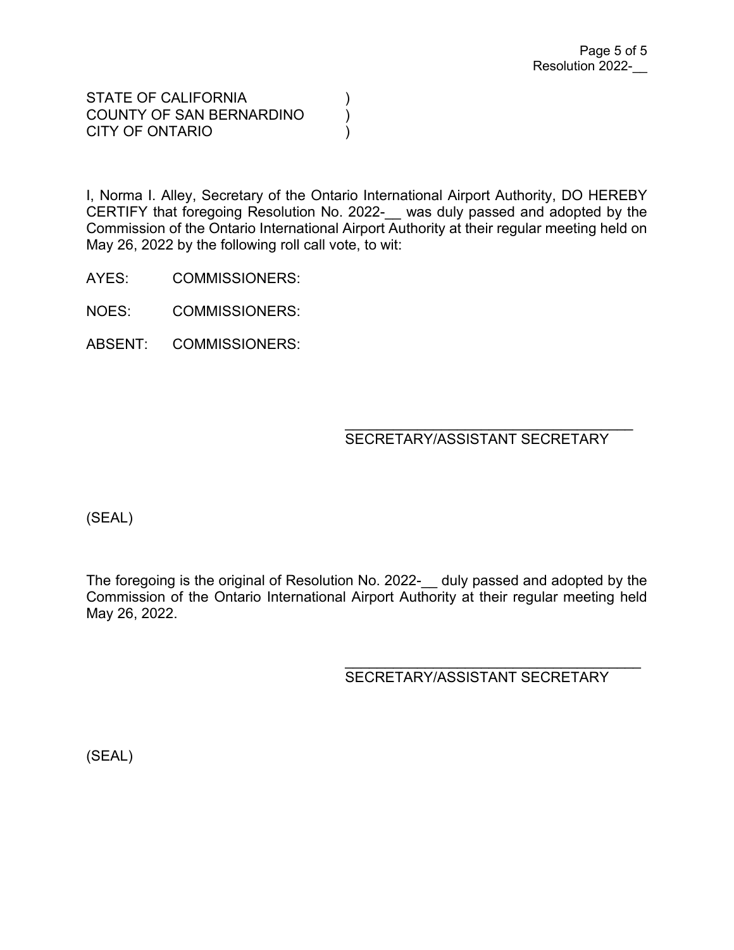STATE OF CALIFORNIA (1) COUNTY OF SAN BERNARDINO (1) CITY OF ONTARIO )

I, Norma I. Alley, Secretary of the Ontario International Airport Authority, DO HEREBY CERTIFY that foregoing Resolution No. 2022- was duly passed and adopted by the Commission of the Ontario International Airport Authority at their regular meeting held on May 26, 2022 by the following roll call vote, to wit:

AYES: COMMISSIONERS:

NOES: COMMISSIONERS:

ABSENT: COMMISSIONERS:

#### $\overline{\phantom{a}}$ SECRETARY/ASSISTANT SECRETARY

(SEAL)

The foregoing is the original of Resolution No. 2022- duly passed and adopted by the Commission of the Ontario International Airport Authority at their regular meeting held May 26, 2022.

 $\overline{\phantom{a}}$ 

SECRETARY/ASSISTANT SECRETARY

(SEAL)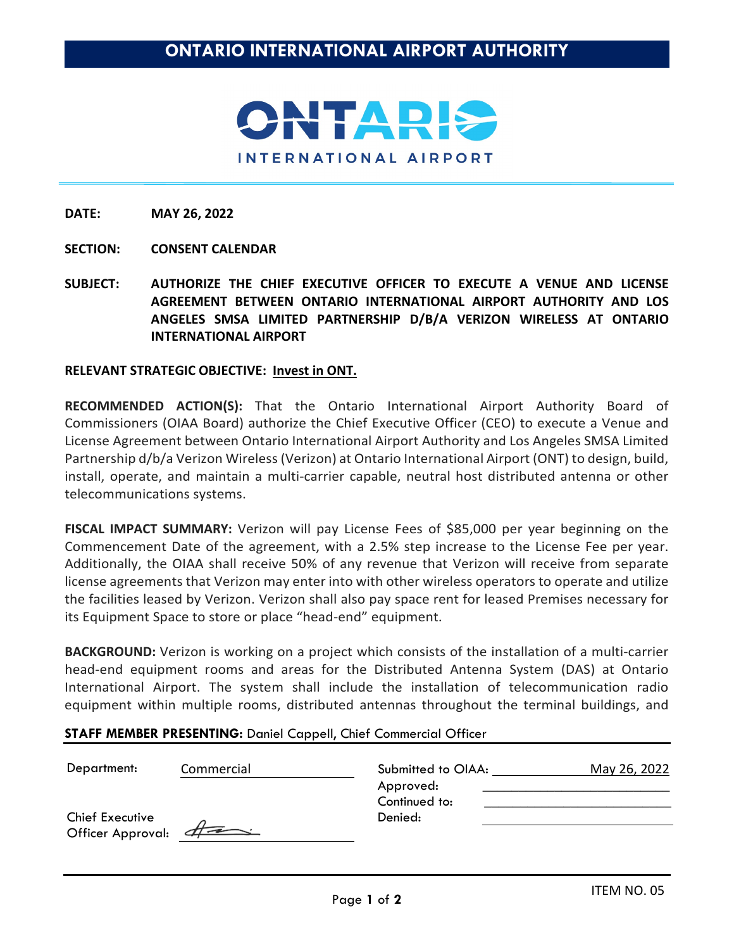

- **SECTION: CONSENT CALENDAR**
- **SUBJECT: AUTHORIZE THE CHIEF EXECUTIVE OFFICER TO EXECUTE A VENUE AND LICENSE AGREEMENT BETWEEN ONTARIO INTERNATIONAL AIRPORT AUTHORITY AND LOS ANGELES SMSA LIMITED PARTNERSHIP D/B/A VERIZON WIRELESS AT ONTARIO INTERNATIONAL AIRPORT**

#### **RELEVANT STRATEGIC OBJECTIVE: Invest in ONT.**

**RECOMMENDED ACTION(S):** That the Ontario International Airport Authority Board of Commissioners (OIAA Board) authorize the Chief Executive Officer (CEO) to execute a Venue and License Agreement between Ontario International Airport Authority and Los Angeles SMSA Limited Partnership d/b/a Verizon Wireless (Verizon) at Ontario International Airport (ONT) to design, build, install, operate, and maintain a multi-carrier capable, neutral host distributed antenna or other telecommunications systems.

**FISCAL IMPACT SUMMARY:** Verizon will pay License Fees of \$85,000 per year beginning on the Commencement Date of the agreement, with a 2.5% step increase to the License Fee per year. Additionally, the OIAA shall receive 50% of any revenue that Verizon will receive from separate license agreements that Verizon may enter into with other wireless operators to operate and utilize the facilities leased by Verizon. Verizon shall also pay space rent for leased Premises necessary for its Equipment Space to store or place "head-end" equipment.

**BACKGROUND:** Verizon is working on a project which consists of the installation of a multi-carrier head-end equipment rooms and areas for the Distributed Antenna System (DAS) at Ontario International Airport. The system shall include the installation of telecommunication radio equipment within multiple rooms, distributed antennas throughout the terminal buildings, and

#### **STAFF MEMBER PRESENTING:** Daniel Cappell, Chief Commercial Officer

| Department:                                   | Commercial | Submitted to OIAA:<br>Approved:<br>Continued to: | May 26, 2022 |
|-----------------------------------------------|------------|--------------------------------------------------|--------------|
| <b>Chief Executive</b><br>Officer Approval: 4 |            | Denied:                                          |              |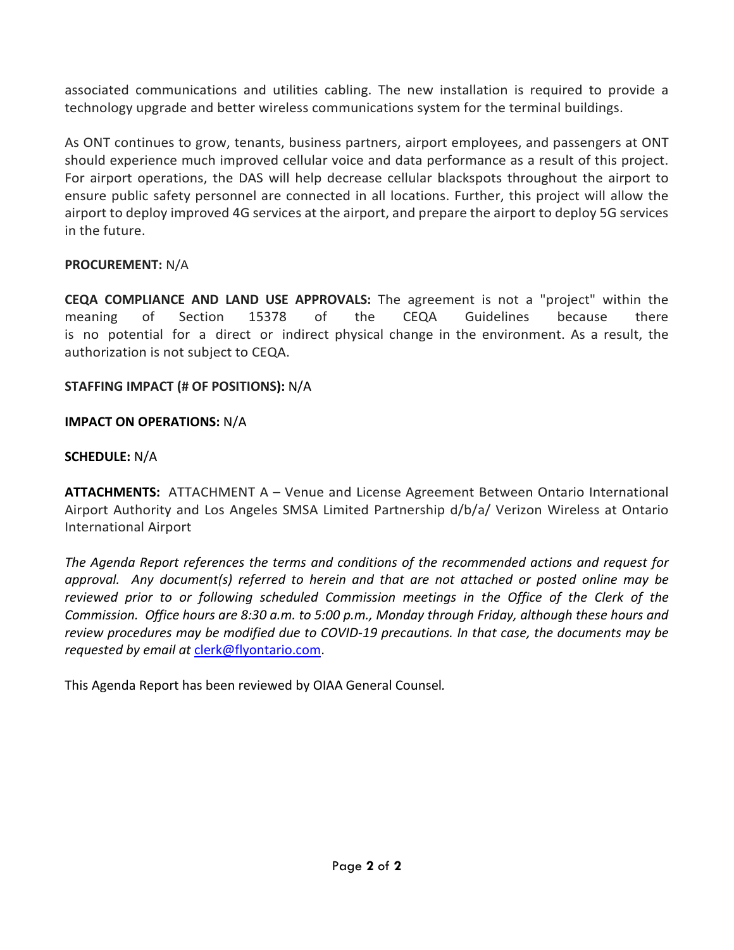associated communications and utilities cabling. The new installation is required to provide a technology upgrade and better wireless communications system for the terminal buildings.

As ONT continues to grow, tenants, business partners, airport employees, and passengers at ONT should experience much improved cellular voice and data performance as a result of this project. For airport operations, the DAS will help decrease cellular blackspots throughout the airport to ensure public safety personnel are connected in all locations. Further, this project will allow the airport to deploy improved 4G services at the airport, and prepare the airport to deploy 5G services in the future.

# **PROCUREMENT:** N/A

**CEQA COMPLIANCE AND LAND USE APPROVALS:** The agreement is not a "project" within the meaning of Section 15378 of the CEQA Guidelines because there is no potential for a direct or indirect physical change in the environment. As a result, the authorization is not subject to CEQA.

# **STAFFING IMPACT (# OF POSITIONS):** N/A

# **IMPACT ON OPERATIONS:** N/A

# **SCHEDULE:** N/A

**ATTACHMENTS:** ATTACHMENT A – Venue and License Agreement Between Ontario International Airport Authority and Los Angeles SMSA Limited Partnership d/b/a/ Verizon Wireless at Ontario International Airport

*The Agenda Report references the terms and conditions of the recommended actions and request for approval. Any document(s) referred to herein and that are not attached or posted online may be*  reviewed prior to or following scheduled Commission meetings in the Office of the Clerk of the *Commission. Office hours are 8:30 a.m. to 5:00 p.m., Monday through Friday, although these hours and review procedures may be modified due to COVID-19 precautions. In that case, the documents may be requested by email at* [clerk@flyontario.com.](mailto:clerk@flyontario.com)

This Agenda Report has been reviewed by OIAA General Counsel*.*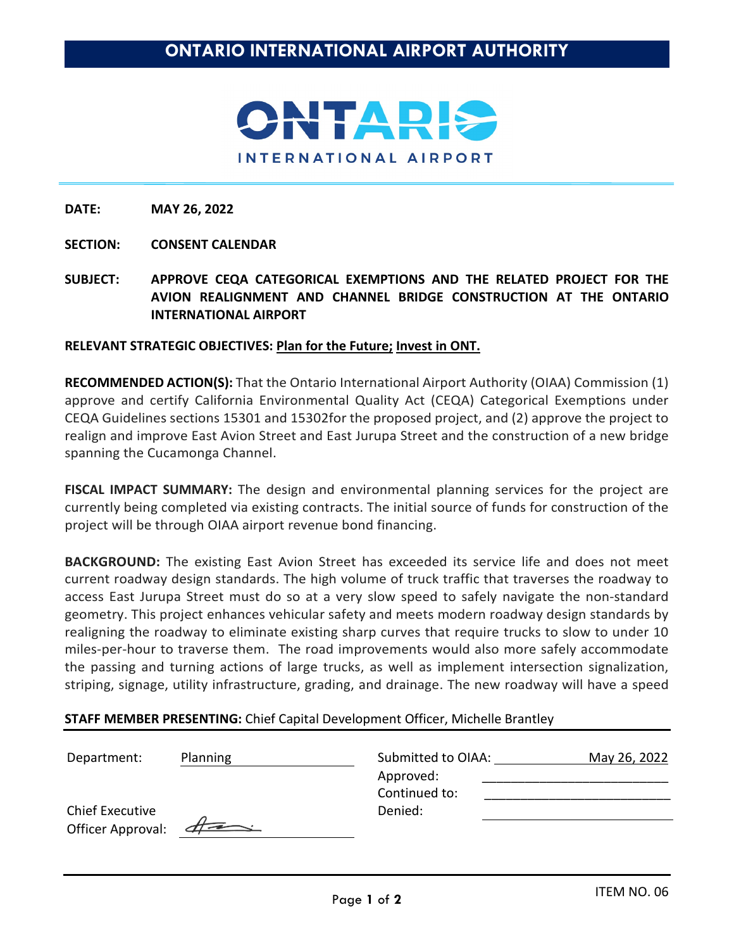

- **SECTION: CONSENT CALENDAR**
- **SUBJECT: APPROVE CEQA CATEGORICAL EXEMPTIONS AND THE RELATED PROJECT FOR THE AVION REALIGNMENT AND CHANNEL BRIDGE CONSTRUCTION AT THE ONTARIO INTERNATIONAL AIRPORT**

#### **RELEVANT STRATEGIC OBJECTIVES: Plan for the Future; Invest in ONT.**

**RECOMMENDED ACTION(S):** That the Ontario International Airport Authority (OIAA) Commission (1) approve and certify California Environmental Quality Act (CEQA) Categorical Exemptions under CEQA Guidelines sections 15301 and 15302for the proposed project, and (2) approve the project to realign and improve East Avion Street and East Jurupa Street and the construction of a new bridge spanning the Cucamonga Channel.

**FISCAL IMPACT SUMMARY:** The design and environmental planning services for the project are currently being completed via existing contracts. The initial source of funds for construction of the project will be through OIAA airport revenue bond financing.

**BACKGROUND:** The existing East Avion Street has exceeded its service life and does not meet current roadway design standards. The high volume of truck traffic that traverses the roadway to access East Jurupa Street must do so at a very slow speed to safely navigate the non-standard geometry. This project enhances vehicular safety and meets modern roadway design standards by realigning the roadway to eliminate existing sharp curves that require trucks to slow to under 10 miles-per-hour to traverse them. The road improvements would also more safely accommodate the passing and turning actions of large trucks, as well as implement intersection signalization, striping, signage, utility infrastructure, grading, and drainage. The new roadway will have a speed

#### **STAFF MEMBER PRESENTING:** Chief Capital Development Officer, Michelle Brantley

| Department:            | Planning | Submitted to OIAA:         | May 26, 2022 |
|------------------------|----------|----------------------------|--------------|
|                        |          | Approved:<br>Continued to: |              |
| <b>Chief Executive</b> |          | Denied:                    |              |
| Officer Approval:      | $4 =$    |                            |              |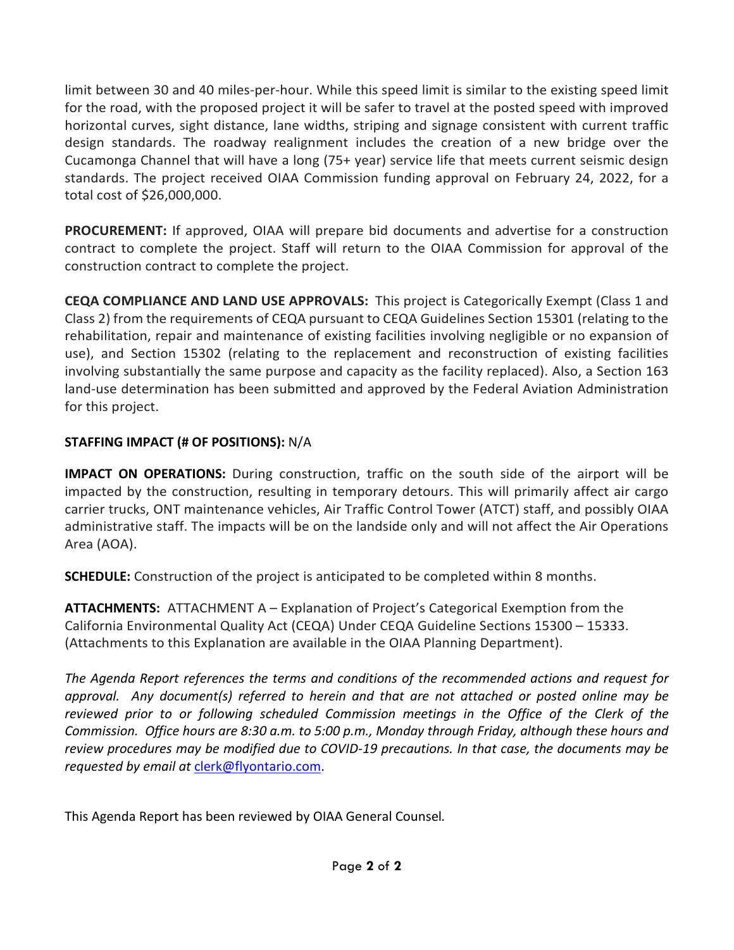limit between 30 and 40 miles-per-hour. While this speed limit is similar to the existing speed limit for the road, with the proposed project it will be safer to travel at the posted speed with improved horizontal curves, sight distance, lane widths, striping and signage consistent with current traffic design standards. The roadway realignment includes the creation of a new bridge over the Cucamonga Channel that will have a long (75+ year) service life that meets current seismic design standards. The project received OIAA Commission funding approval on February 24, 2022, for a total cost of \$26,000,000.

**PROCUREMENT:** If approved, OIAA will prepare bid documents and advertise for a construction contract to complete the project. Staff will return to the OIAA Commission for approval of the construction contract to complete the project.

**CEQA COMPLIANCE AND LAND USE APPROVALS:** This project is Categorically Exempt (Class 1 and Class 2) from the requirements of CEQA pursuant to CEQA Guidelines Section 15301 (relating to the rehabilitation, repair and maintenance of existing facilities involving negligible or no expansion of use), and Section 15302 (relating to the replacement and reconstruction of existing facilities involving substantially the same purpose and capacity as the facility replaced). Also, a Section 163 land-use determination has been submitted and approved by the Federal Aviation Administration for this project.

# **STAFFING IMPACT (# OF POSITIONS):** N/A

**IMPACT ON OPERATIONS:** During construction, traffic on the south side of the airport will be impacted by the construction, resulting in temporary detours. This will primarily affect air cargo carrier trucks, ONT maintenance vehicles, Air Traffic Control Tower (ATCT) staff, and possibly OIAA administrative staff. The impacts will be on the landside only and will not affect the Air Operations Area (AOA).

**SCHEDULE:** Construction of the project is anticipated to be completed within 8 months.

**ATTACHMENTS:** ATTACHMENT A – Explanation of Project's Categorical Exemption from the California Environmental Quality Act (CEQA) Under CEQA Guideline Sections 15300 – 15333. (Attachments to this Explanation are available in the OIAA Planning Department).

*The Agenda Report references the terms and conditions of the recommended actions and request for approval. Any document(s) referred to herein and that are not attached or posted online may be reviewed prior to or following scheduled Commission meetings in the Office of the Clerk of the Commission. Office hours are 8:30 a.m. to 5:00 p.m., Monday through Friday, although these hours and review procedures may be modified due to COVID-19 precautions. In that case, the documents may be requested by email at* [clerk@flyontario.com.](mailto:clerk@flyontario.com)

This Agenda Report has been reviewed by OIAA General Counsel*.*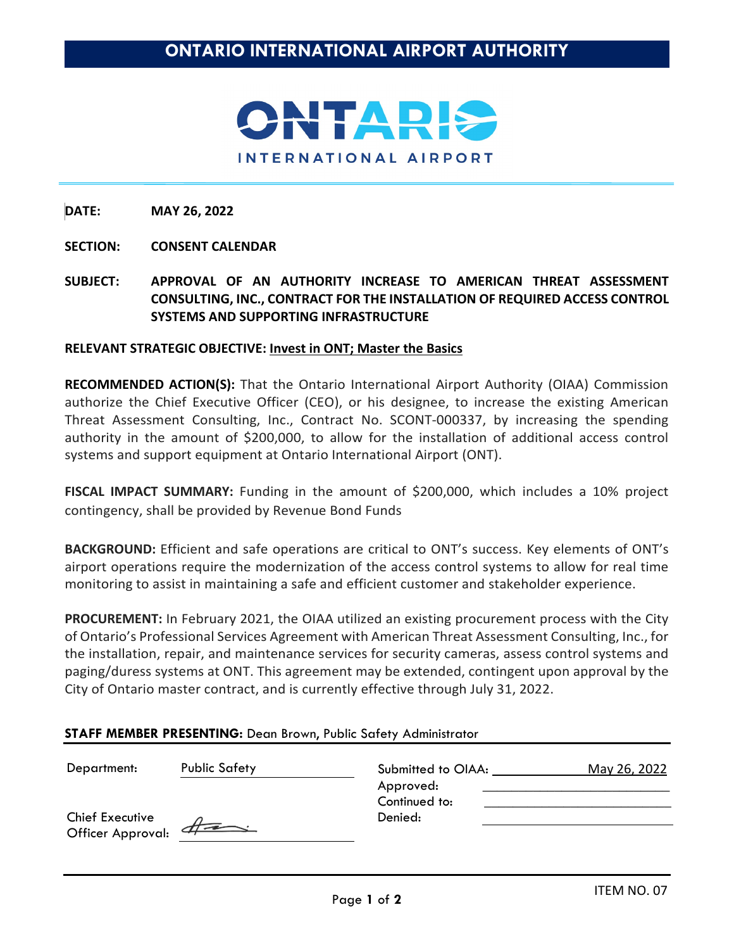

### **SECTION: CONSENT CALENDAR**

**SUBJECT: APPROVAL OF AN AUTHORITY INCREASE TO AMERICAN THREAT ASSESSMENT CONSULTING, INC., CONTRACT FOR THE INSTALLATION OF REQUIRED ACCESS CONTROL SYSTEMS AND SUPPORTING INFRASTRUCTURE** 

#### **RELEVANT STRATEGIC OBJECTIVE: Invest in ONT; Master the Basics**

**RECOMMENDED ACTION(S):** That the Ontario International Airport Authority (OIAA) Commission authorize the Chief Executive Officer (CEO), or his designee, to increase the existing American Threat Assessment Consulting, Inc., Contract No. SCONT-000337, by increasing the spending authority in the amount of \$200,000, to allow for the installation of additional access control systems and support equipment at Ontario International Airport (ONT).

**FISCAL IMPACT SUMMARY:** Funding in the amount of \$200,000, which includes a 10% project contingency, shall be provided by Revenue Bond Funds

**BACKGROUND:** Efficient and safe operations are critical to ONT's success. Key elements of ONT's airport operations require the modernization of the access control systems to allow for real time monitoring to assist in maintaining a safe and efficient customer and stakeholder experience.

**PROCUREMENT:** In February 2021, the OIAA utilized an existing procurement process with the City of Ontario's Professional Services Agreement with American Threat Assessment Consulting, Inc., for the installation, repair, and maintenance services for security cameras, assess control systems and paging/duress systems at ONT. This agreement may be extended, contingent upon approval by the City of Ontario master contract, and is currently effective through July 31, 2022.

| Department:                                 | <b>Public Safety</b> | Submitted to OIAA:         | May 26, 2022 |
|---------------------------------------------|----------------------|----------------------------|--------------|
|                                             |                      | Approved:<br>Continued to: |              |
| <b>Chief Executive</b><br>Officer Approval: | $\#$                 | Denied:                    |              |

### **STAFF MEMBER PRESENTING:** Dean Brown, Public Safety Administrator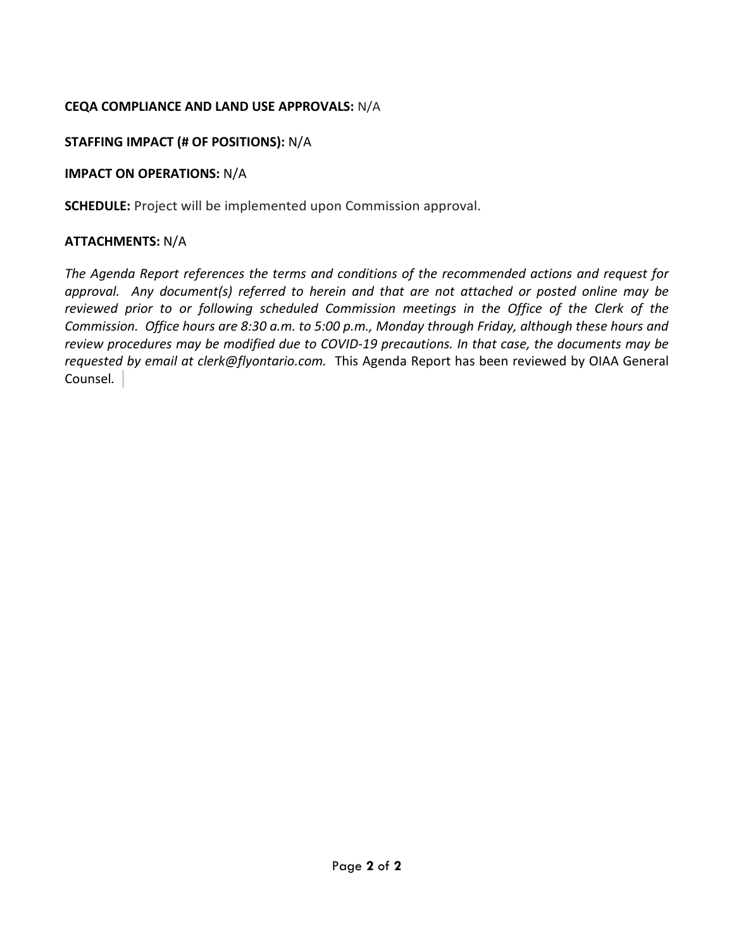# **CEQA COMPLIANCE AND LAND USE APPROVALS:** N/A

# **STAFFING IMPACT (# OF POSITIONS):** N/A

# **IMPACT ON OPERATIONS:** N/A

**SCHEDULE:** Project will be implemented upon Commission approval.

# **ATTACHMENTS:** N/A

*The Agenda Report references the terms and conditions of the recommended actions and request for approval. Any document(s) referred to herein and that are not attached or posted online may be reviewed prior to or following scheduled Commission meetings in the Office of the Clerk of the Commission. Office hours are 8:30 a.m. to 5:00 p.m., Monday through Friday, although these hours and review procedures may be modified due to COVID-19 precautions. In that case, the documents may be requested by email at clerk@flyontario.com.* This Agenda Report has been reviewed by OIAA General Counsel*.*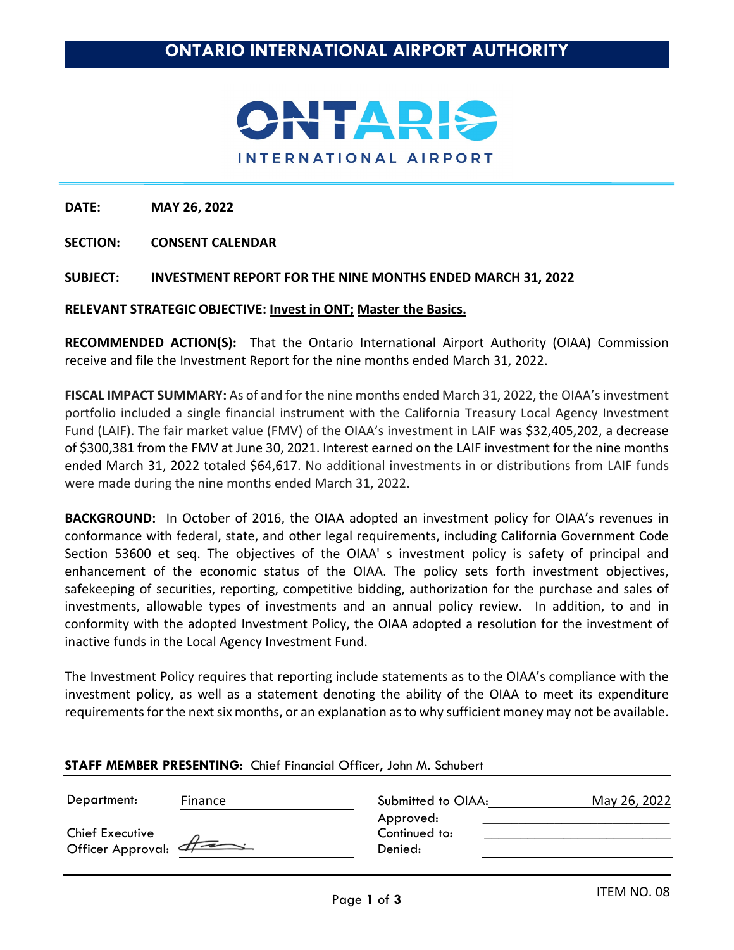

**SECTION: CONSENT CALENDAR**

#### **SUBJECT: INVESTMENT REPORT FOR THE NINE MONTHS ENDED MARCH 31, 2022**

#### **RELEVANT STRATEGIC OBJECTIVE: Invest in ONT; Master the Basics.**

**RECOMMENDED ACTION(S):** That the Ontario International Airport Authority (OIAA) Commission receive and file the Investment Report for the nine months ended March 31, 2022.

FISCAL IMPACT SUMMARY: As of and for the nine months ended March 31, 2022, the OIAA's investment portfolio included a single financial instrument with the California Treasury Local Agency Investment Fund (LAIF). The fair market value (FMV) of the OIAA's investment in LAIF was \$32,405,202, a decrease of \$300,381 from the FMV at June 30, 2021. Interest earned on the LAIF investment for the nine months ended March 31, 2022 totaled \$64,617. No additional investments in or distributions from LAIF funds were made during the nine months ended March 31, 2022.

**BACKGROUND:** In October of 2016, the OIAA adopted an investment policy for OIAA's revenues in conformance with federal, state, and other legal requirements, including California Government Code Section 53600 et seq. The objectives of the OIAA' s investment policy is safety of principal and enhancement of the economic status of the OIAA. The policy sets forth investment objectives, safekeeping of securities, reporting, competitive bidding, authorization for the purchase and sales of investments, allowable types of investments and an annual policy review. In addition, to and in conformity with the adopted Investment Policy, the OIAA adopted a resolution for the investment of inactive funds in the Local Agency Investment Fund.

The Investment Policy requires that reporting include statements as to the OIAA's compliance with the investment policy, as well as a statement denoting the ability of the OIAA to meet its expenditure requirements for the next six months, or an explanation as to why sufficient money may not be available.

#### **STAFF MEMBER PRESENTING:** Chief Financial Officer, John M. Schubert

Department: Finance Submitted to OIAA: May 26, 2022

Chief Executive Officer Approval:  $d\neq$ 

|               |  | 11101 601 6066 |
|---------------|--|----------------|
| Approved:     |  |                |
| Continued to: |  |                |
| Denied:       |  |                |
|               |  |                |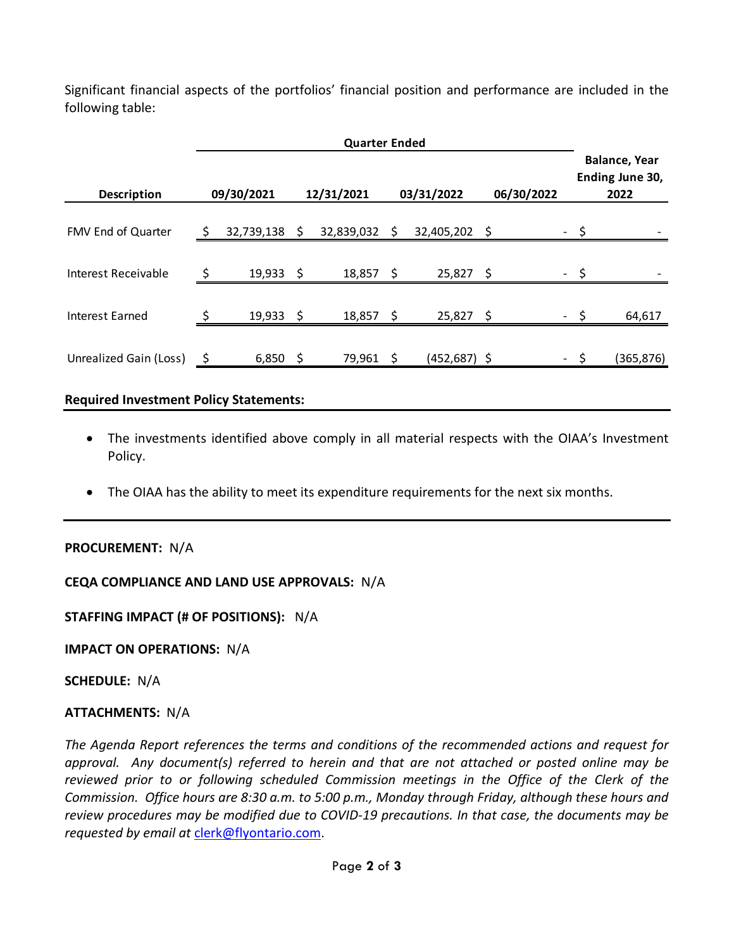Significant financial aspects of the portfolios' financial position and performance are included in the following table:

|                        |   | <b>Quarter Ended</b> |    |            |     |                 |            |      |                                                 |
|------------------------|---|----------------------|----|------------|-----|-----------------|------------|------|-------------------------------------------------|
| <b>Description</b>     |   | 09/30/2021           |    | 12/31/2021 |     | 03/31/2022      | 06/30/2022 |      | <b>Balance, Year</b><br>Ending June 30,<br>2022 |
| FMV End of Quarter     | S | 32,739,138           | \$ | 32,839,032 | \$  | 32,405,202 \$   |            |      |                                                 |
| Interest Receivable    | ς | 19,933               | Ŝ  | 18,857     |     | 25,827          | \$         |      |                                                 |
| Interest Earned        |   | $19,933$ \$          |    | 18,857     | \$  | $25,827$ \$     |            | - \$ | 64,617                                          |
| Unrealized Gain (Loss) |   | $6,850$ \$           |    | 79,961     | - S | $(452, 687)$ \$ |            | - \$ | (365, 876)                                      |
|                        |   |                      |    |            |     |                 |            |      |                                                 |

# **Required Investment Policy Statements:**

- The investments identified above comply in all material respects with the OIAA's Investment Policy.
- The OIAA has the ability to meet its expenditure requirements for the next six months.

# **PROCUREMENT:** N/A

**CEQA COMPLIANCE AND LAND USE APPROVALS:** N/A

**STAFFING IMPACT (# OF POSITIONS):** N/A

**IMPACT ON OPERATIONS:** N/A

**SCHEDULE:** N/A

# **ATTACHMENTS:** N/A

*The Agenda Report references the terms and conditions of the recommended actions and request for approval. Any document(s) referred to herein and that are not attached or posted online may be reviewed prior to or following scheduled Commission meetings in the Office of the Clerk of the Commission. Office hours are 8:30 a.m. to 5:00 p.m., Monday through Friday, although these hours and review procedures may be modified due to COVID-19 precautions. In that case, the documents may be requested by email at* [clerk@flyontario.com.](mailto:clerk@flyontario.com)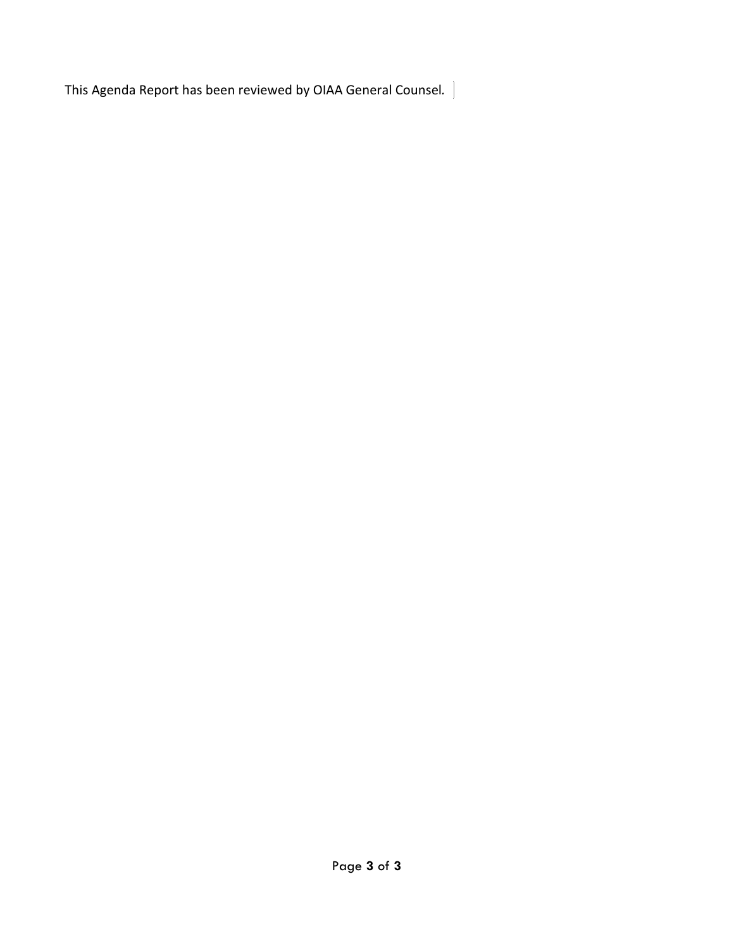This Agenda Report has been reviewed by OIAA General Counsel*.*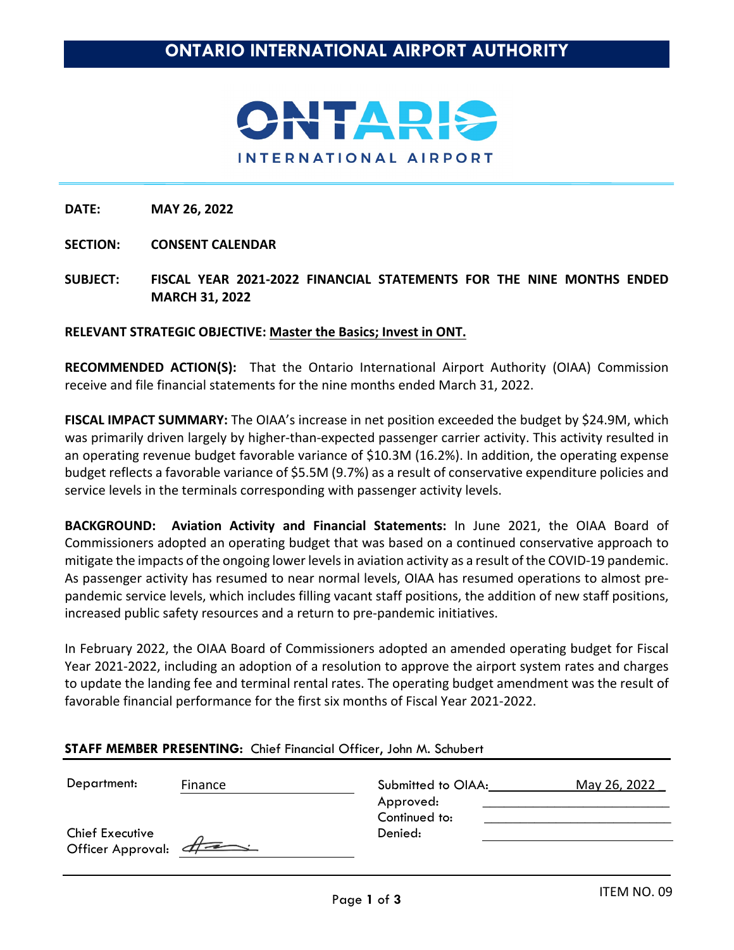

**SECTION: CONSENT CALENDAR**

**SUBJECT: FISCAL YEAR 2021-2022 FINANCIAL STATEMENTS FOR THE NINE MONTHS ENDED MARCH 31, 2022** 

#### **RELEVANT STRATEGIC OBJECTIVE: Master the Basics; Invest in ONT.**

**RECOMMENDED ACTION(S):** That the Ontario International Airport Authority (OIAA) Commission receive and file financial statements for the nine months ended March 31, 2022.

**FISCAL IMPACT SUMMARY:** The OIAA's increase in net position exceeded the budget by \$24.9M, which was primarily driven largely by higher-than-expected passenger carrier activity. This activity resulted in an operating revenue budget favorable variance of \$10.3M (16.2%). In addition, the operating expense budget reflects a favorable variance of \$5.5M (9.7%) as a result of conservative expenditure policies and service levels in the terminals corresponding with passenger activity levels.

**BACKGROUND: Aviation Activity and Financial Statements:** In June 2021, the OIAA Board of Commissioners adopted an operating budget that was based on a continued conservative approach to mitigate the impacts of the ongoing lower levels in aviation activity as a result of the COVID-19 pandemic. As passenger activity has resumed to near normal levels, OIAA has resumed operations to almost prepandemic service levels, which includes filling vacant staff positions, the addition of new staff positions, increased public safety resources and a return to pre-pandemic initiatives.

In February 2022, the OIAA Board of Commissioners adopted an amended operating budget for Fiscal Year 2021-2022, including an adoption of a resolution to approve the airport system rates and charges to update the landing fee and terminal rental rates. The operating budget amendment was the result of favorable financial performance for the first six months of Fiscal Year 2021-2022.

| Department:                            | Finance | Submitted to OIAA:         | May 26, 2022 |
|----------------------------------------|---------|----------------------------|--------------|
|                                        |         | Approved:<br>Continued to: |              |
| Chief Executive<br>Officer Approval: 4 |         | Denied:                    |              |
|                                        |         |                            |              |

#### **STAFF MEMBER PRESENTING:** Chief Financial Officer, John M. Schubert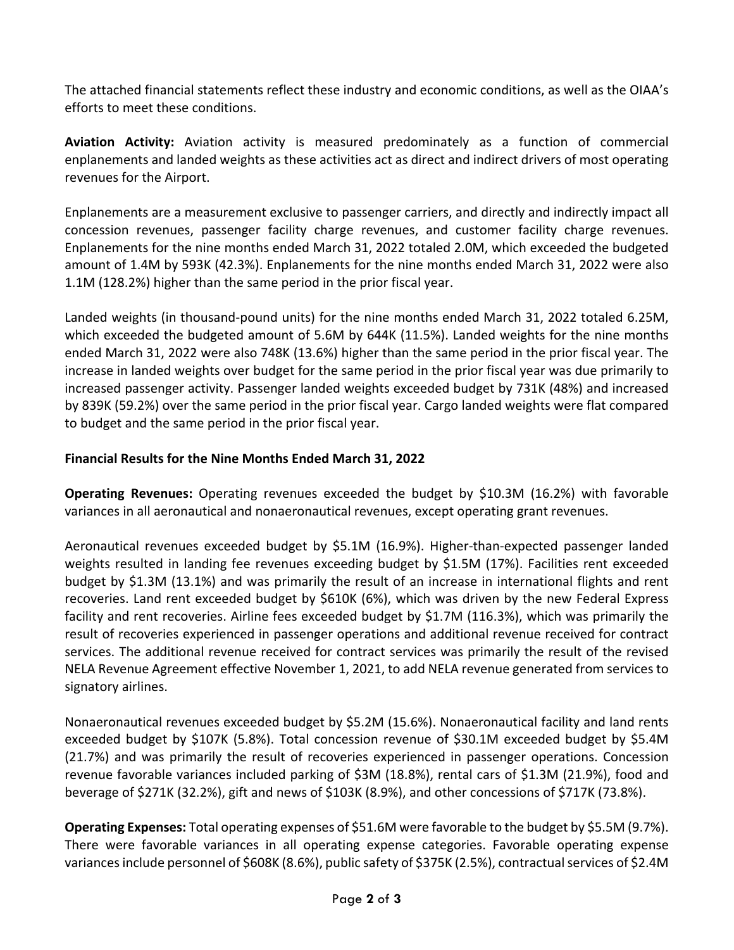The attached financial statements reflect these industry and economic conditions, as well as the OIAA's efforts to meet these conditions.

**Aviation Activity:** Aviation activity is measured predominately as a function of commercial enplanements and landed weights as these activities act as direct and indirect drivers of most operating revenues for the Airport.

Enplanements are a measurement exclusive to passenger carriers, and directly and indirectly impact all concession revenues, passenger facility charge revenues, and customer facility charge revenues. Enplanements for the nine months ended March 31, 2022 totaled 2.0M, which exceeded the budgeted amount of 1.4M by 593K (42.3%). Enplanements for the nine months ended March 31, 2022 were also 1.1M (128.2%) higher than the same period in the prior fiscal year.

Landed weights (in thousand-pound units) for the nine months ended March 31, 2022 totaled 6.25M, which exceeded the budgeted amount of 5.6M by 644K (11.5%). Landed weights for the nine months ended March 31, 2022 were also 748K (13.6%) higher than the same period in the prior fiscal year. The increase in landed weights over budget for the same period in the prior fiscal year was due primarily to increased passenger activity. Passenger landed weights exceeded budget by 731K (48%) and increased by 839K (59.2%) over the same period in the prior fiscal year. Cargo landed weights were flat compared to budget and the same period in the prior fiscal year.

# **Financial Results for the Nine Months Ended March 31, 2022**

**Operating Revenues:** Operating revenues exceeded the budget by \$10.3M (16.2%) with favorable variances in all aeronautical and nonaeronautical revenues, except operating grant revenues.

Aeronautical revenues exceeded budget by \$5.1M (16.9%). Higher-than-expected passenger landed weights resulted in landing fee revenues exceeding budget by \$1.5M (17%). Facilities rent exceeded budget by \$1.3M (13.1%) and was primarily the result of an increase in international flights and rent recoveries. Land rent exceeded budget by \$610K (6%), which was driven by the new Federal Express facility and rent recoveries. Airline fees exceeded budget by \$1.7M (116.3%), which was primarily the result of recoveries experienced in passenger operations and additional revenue received for contract services. The additional revenue received for contract services was primarily the result of the revised NELA Revenue Agreement effective November 1, 2021, to add NELA revenue generated from services to signatory airlines.

Nonaeronautical revenues exceeded budget by \$5.2M (15.6%). Nonaeronautical facility and land rents exceeded budget by \$107K (5.8%). Total concession revenue of \$30.1M exceeded budget by \$5.4M (21.7%) and was primarily the result of recoveries experienced in passenger operations. Concession revenue favorable variances included parking of \$3M (18.8%), rental cars of \$1.3M (21.9%), food and beverage of \$271K (32.2%), gift and news of \$103K (8.9%), and other concessions of \$717K (73.8%).

**Operating Expenses:** Total operating expenses of \$51.6M were favorable to the budget by \$5.5M (9.7%). There were favorable variances in all operating expense categories. Favorable operating expense variances include personnel of \$608K (8.6%), public safety of \$375K (2.5%), contractual services of \$2.4M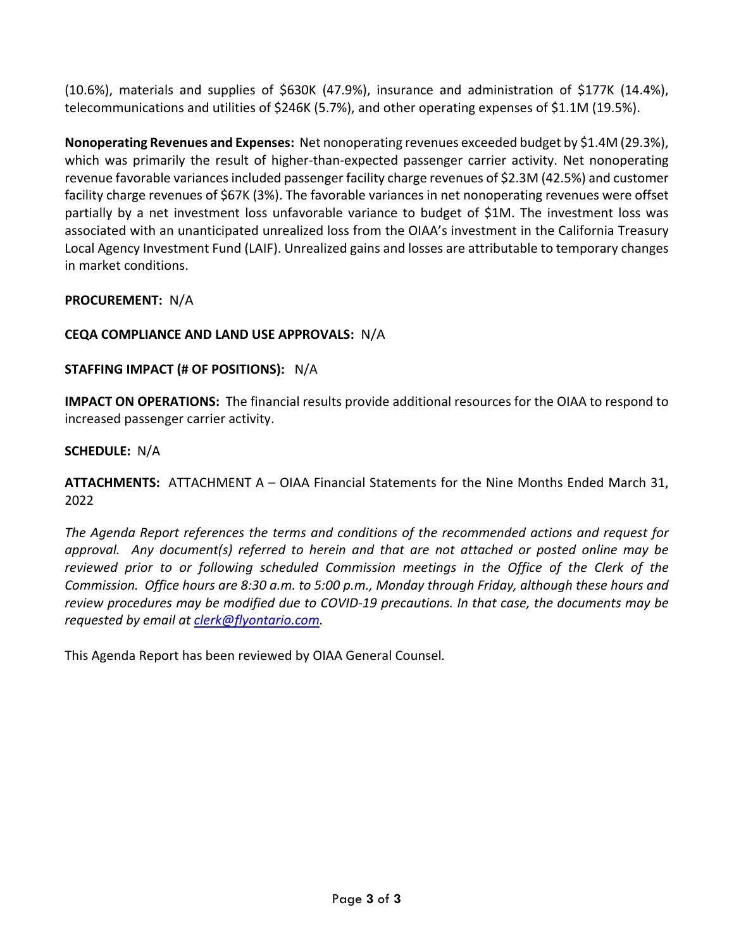(10.6%), materials and supplies of \$630K (47.9%), insurance and administration of \$177K (14.4%), telecommunications and utilities of \$246K (5.7%), and other operating expenses of \$1.1M (19.5%).

**Nonoperating Revenues and Expenses:** Net nonoperating revenues exceeded budget by \$1.4M (29.3%), which was primarily the result of higher-than-expected passenger carrier activity. Net nonoperating revenue favorable variances included passenger facility charge revenues of \$2.3M (42.5%) and customer facility charge revenues of \$67K (3%). The favorable variances in net nonoperating revenues were offset partially by a net investment loss unfavorable variance to budget of \$1M. The investment loss was associated with an unanticipated unrealized loss from the OIAA's investment in the California Treasury Local Agency Investment Fund (LAIF). Unrealized gains and losses are attributable to temporary changes in market conditions.

# **PROCUREMENT:** N/A

# **CEQA COMPLIANCE AND LAND USE APPROVALS:** N/A

### **STAFFING IMPACT (# OF POSITIONS):** N/A

**IMPACT ON OPERATIONS:** The financial results provide additional resources for the OIAA to respond to increased passenger carrier activity.

### **SCHEDULE:** N/A

**ATTACHMENTS:** ATTACHMENT A – OIAA Financial Statements for the Nine Months Ended March 31, 2022

*The Agenda Report references the terms and conditions of the recommended actions and request for approval. Any document(s) referred to herein and that are not attached or posted online may be reviewed prior to or following scheduled Commission meetings in the Office of the Clerk of the Commission. Office hours are 8:30 a.m. to 5:00 p.m., Monday through Friday, although these hours and review procedures may be modified due to COVID-19 precautions. In that case, the documents may be requested by email at [clerk@flyontario.com.](mailto:clerk@flyontario.com)* 

This Agenda Report has been reviewed by OIAA General Counsel*.*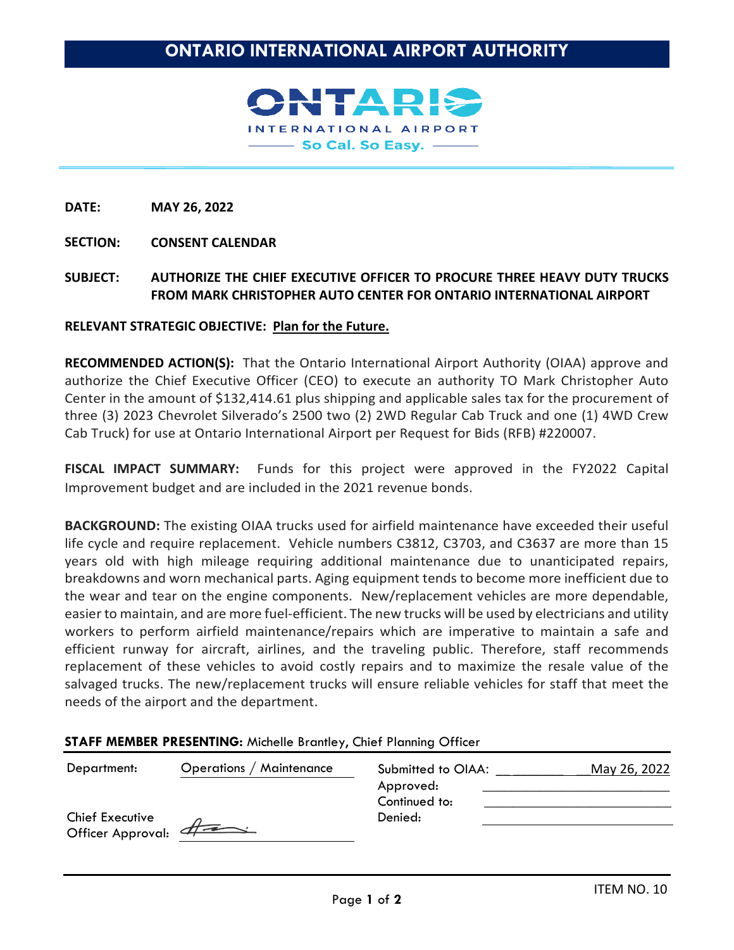INTERNATIONAL AIRPORT - So Cal. So Easy. -

**DATE: MAY 26, 2022**

**SECTION: CONSENT CALENDAR**

**SUBJECT: AUTHORIZE THE CHIEF EXECUTIVE OFFICER TO PROCURE THREE HEAVY DUTY TRUCKS FROM MARK CHRISTOPHER AUTO CENTER FOR ONTARIO INTERNATIONAL AIRPORT** 

#### **RELEVANT STRATEGIC OBJECTIVE: Plan for the Future.**

**RECOMMENDED ACTION(S):** That the Ontario International Airport Authority (OIAA) approve and authorize the Chief Executive Officer (CEO) to execute an authority TO Mark Christopher Auto Center in the amount of \$132,414.61 plus shipping and applicable sales tax for the procurement of three (3) 2023 Chevrolet Silverado's 2500 two (2) 2WD Regular Cab Truck and one (1) 4WD Crew Cab Truck) for use at Ontario International Airport per Request for Bids (RFB) #220007.

**FISCAL IMPACT SUMMARY:** Funds for this project were approved in the FY2022 Capital Improvement budget and are included in the 2021 revenue bonds.

**BACKGROUND:** The existing OIAA trucks used for airfield maintenance have exceeded their useful life cycle and require replacement. Vehicle numbers C3812, C3703, and C3637 are more than 15 years old with high mileage requiring additional maintenance due to unanticipated repairs, breakdowns and worn mechanical parts. Aging equipment tends to become more inefficient due to the wear and tear on the engine components. New/replacement vehicles are more dependable, easier to maintain, and are more fuel-efficient. The new trucks will be used by electricians and utility workers to perform airfield maintenance/repairs which are imperative to maintain a safe and efficient runway for aircraft, airlines, and the traveling public. Therefore, staff recommends replacement of these vehicles to avoid costly repairs and to maximize the resale value of the salvaged trucks. The new/replacement trucks will ensure reliable vehicles for staff that meet the needs of the airport and the department.

#### **STAFF MEMBER PRESENTING:** Michelle Brantley, Chief Planning Officer

| Department:                                 | <b>Operations / Maintenance</b> | Submitted to OIAA:         | May 26, 2022 |
|---------------------------------------------|---------------------------------|----------------------------|--------------|
|                                             |                                 | Approved:<br>Continued to: |              |
| <b>Chief Executive</b><br>Officer Approval: | $\#$                            | Denied:                    |              |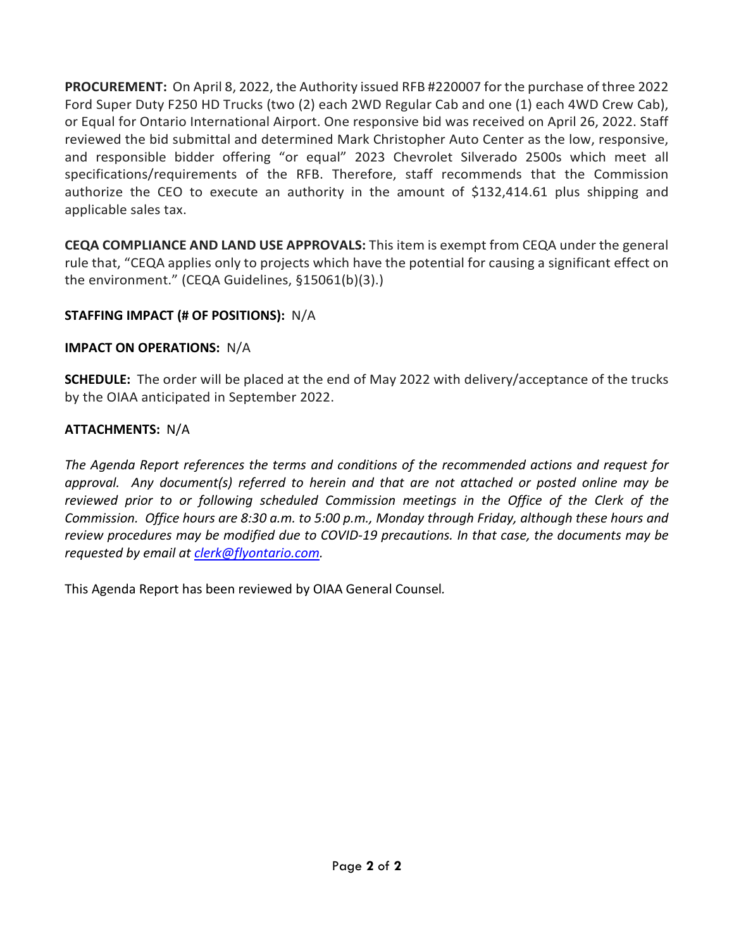**PROCUREMENT:** On April 8, 2022, the Authority issued RFB #220007 for the purchase of three 2022 Ford Super Duty F250 HD Trucks (two (2) each 2WD Regular Cab and one (1) each 4WD Crew Cab), or Equal for Ontario International Airport. One responsive bid was received on April 26, 2022. Staff reviewed the bid submittal and determined Mark Christopher Auto Center as the low, responsive, and responsible bidder offering "or equal" 2023 Chevrolet Silverado 2500s which meet all specifications/requirements of the RFB. Therefore, staff recommends that the Commission authorize the CEO to execute an authority in the amount of \$132,414.61 plus shipping and applicable sales tax.

**CEQA COMPLIANCE AND LAND USE APPROVALS:** This item is exempt from CEQA under the general rule that, "CEQA applies only to projects which have the potential for causing a significant effect on the environment." (CEQA Guidelines, §15061(b)(3).)

# **STAFFING IMPACT (# OF POSITIONS):** N/A

# **IMPACT ON OPERATIONS:** N/A

**SCHEDULE:** The order will be placed at the end of May 2022 with delivery/acceptance of the trucks by the OIAA anticipated in September 2022.

# **ATTACHMENTS:** N/A

*The Agenda Report references the terms and conditions of the recommended actions and request for approval. Any document(s) referred to herein and that are not attached or posted online may be*  reviewed prior to or following scheduled Commission meetings in the Office of the Clerk of the *Commission. Office hours are 8:30 a.m. to 5:00 p.m., Monday through Friday, although these hours and review procedures may be modified due to COVID-19 precautions. In that case, the documents may be requested by email at [clerk@flyontario.com.](mailto:clerk@flyontario.com)* 

This Agenda Report has been reviewed by OIAA General Counsel*.*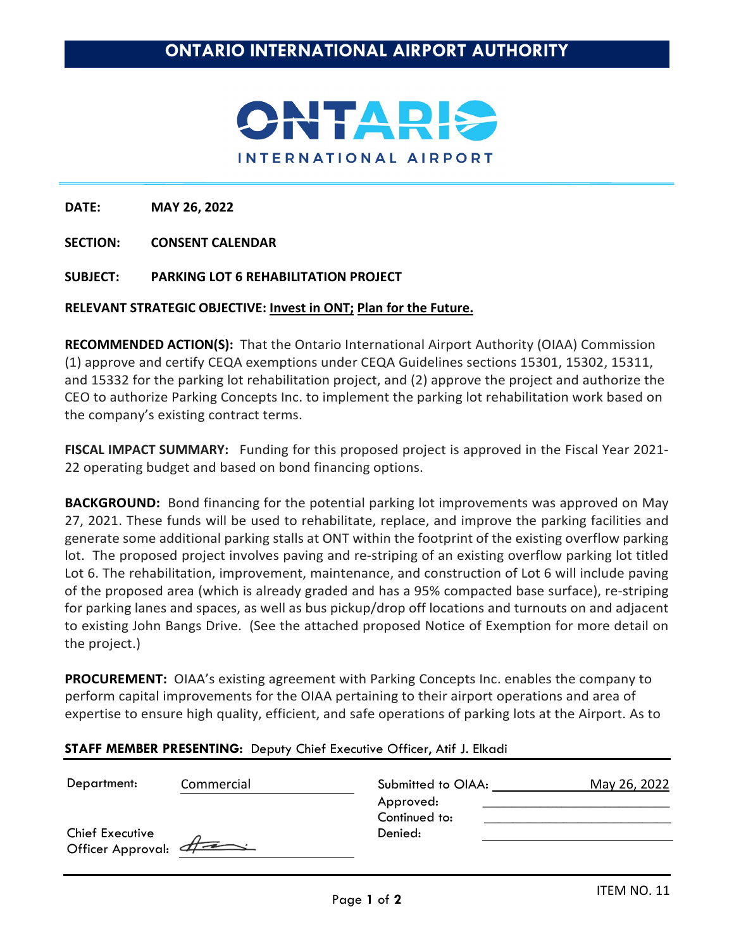

**SECTION: CONSENT CALENDAR** 

### **SUBJECT: PARKING LOT 6 REHABILITATION PROJECT**

#### **RELEVANT STRATEGIC OBJECTIVE: Invest in ONT; Plan for the Future.**

**RECOMMENDED ACTION(S):** That the Ontario International Airport Authority (OIAA) Commission (1) approve and certify CEQA exemptions under CEQA Guidelines sections 15301, 15302, 15311, and 15332 for the parking lot rehabilitation project, and (2) approve the project and authorize the CEO to authorize Parking Concepts Inc. to implement the parking lot rehabilitation work based on the company's existing contract terms.

**FISCAL IMPACT SUMMARY:** Funding for this proposed project is approved in the Fiscal Year 2021- 22 operating budget and based on bond financing options.

**BACKGROUND:** Bond financing for the potential parking lot improvements was approved on May 27, 2021. These funds will be used to rehabilitate, replace, and improve the parking facilities and generate some additional parking stalls at ONT within the footprint of the existing overflow parking lot. The proposed project involves paving and re-striping of an existing overflow parking lot titled Lot 6. The rehabilitation, improvement, maintenance, and construction of Lot 6 will include paving of the proposed area (which is already graded and has a 95% compacted base surface), re-striping for parking lanes and spaces, as well as bus pickup/drop off locations and turnouts on and adjacent to existing John Bangs Drive. (See the attached proposed Notice of Exemption for more detail on the project.)

**PROCUREMENT:** OIAA's existing agreement with Parking Concepts Inc. enables the company to perform capital improvements for the OIAA pertaining to their airport operations and area of expertise to ensure high quality, efficient, and safe operations of parking lots at the Airport. As to

| Department:     | Commercial          | Submitted to OIAA: | May 26, 2022 |
|-----------------|---------------------|--------------------|--------------|
|                 |                     | Approved:          |              |
|                 |                     | Continued to:      |              |
| Chief Executive |                     | Denied:            |              |
|                 | Officer Approval: 4 |                    |              |
|                 |                     |                    |              |

### **STAFF MEMBER PRESENTING:** Deputy Chief Executive Officer, Atif J. Elkadi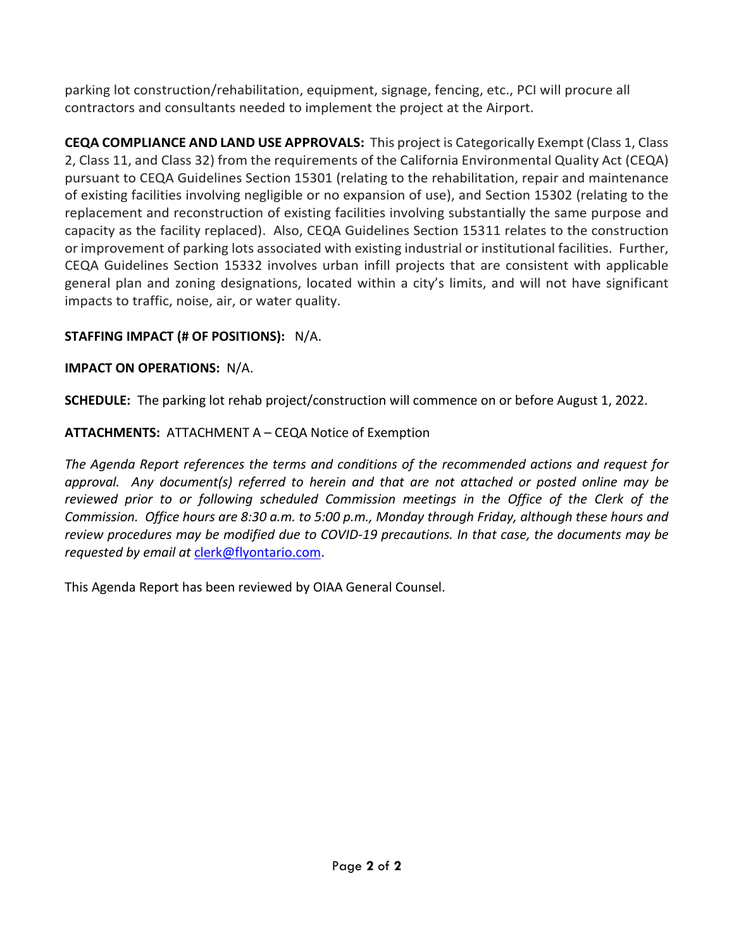parking lot construction/rehabilitation, equipment, signage, fencing, etc., PCI will procure all contractors and consultants needed to implement the project at the Airport.

**CEQA COMPLIANCE AND LAND USE APPROVALS:** This project is Categorically Exempt (Class 1, Class 2, Class 11, and Class 32) from the requirements of the California Environmental Quality Act (CEQA) pursuant to CEQA Guidelines Section 15301 (relating to the rehabilitation, repair and maintenance of existing facilities involving negligible or no expansion of use), and Section 15302 (relating to the replacement and reconstruction of existing facilities involving substantially the same purpose and capacity as the facility replaced). Also, CEQA Guidelines Section 15311 relates to the construction or improvement of parking lots associated with existing industrial or institutional facilities. Further, CEQA Guidelines Section 15332 involves urban infill projects that are consistent with applicable general plan and zoning designations, located within a city's limits, and will not have significant impacts to traffic, noise, air, or water quality.

# **STAFFING IMPACT (# OF POSITIONS):** N/A.

# **IMPACT ON OPERATIONS:** N/A.

**SCHEDULE:** The parking lot rehab project/construction will commence on or before August 1, 2022.

# **ATTACHMENTS:** ATTACHMENT A – CEQA Notice of Exemption

*The Agenda Report references the terms and conditions of the recommended actions and request for approval. Any document(s) referred to herein and that are not attached or posted online may be reviewed prior to or following scheduled Commission meetings in the Office of the Clerk of the Commission. Office hours are 8:30 a.m. to 5:00 p.m., Monday through Friday, although these hours and review procedures may be modified due to COVID-19 precautions. In that case, the documents may be requested by email at* [clerk@flyontario.com.](mailto:clerk@flyontario.com)

This Agenda Report has been reviewed by OIAA General Counsel.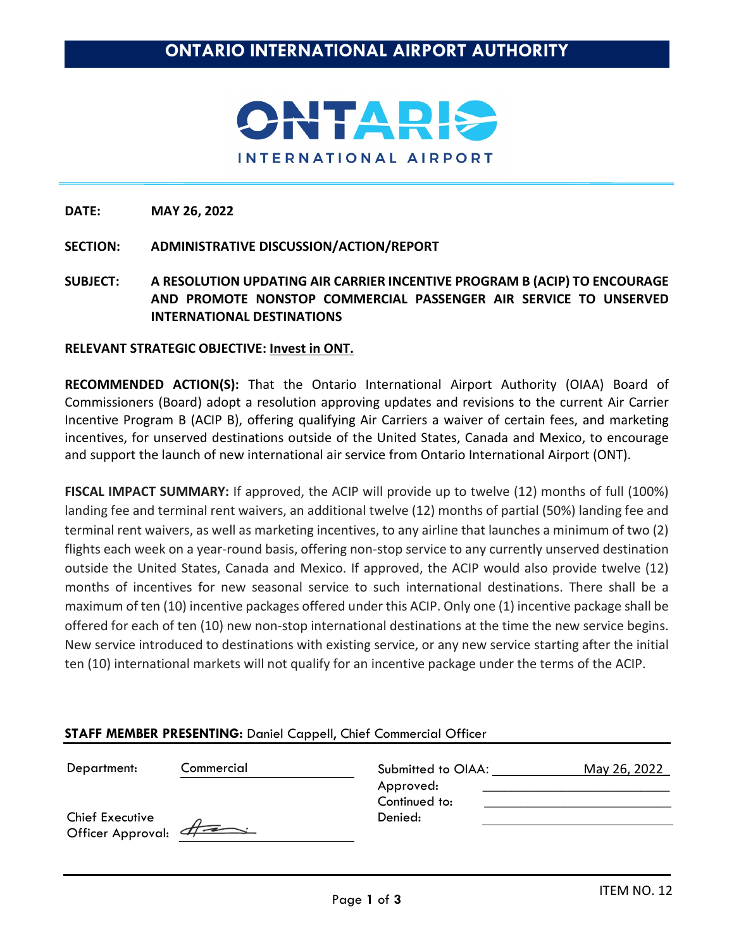

# **SECTION: ADMINISTRATIVE DISCUSSION/ACTION/REPORT**

**SUBJECT: A RESOLUTION UPDATING AIR CARRIER INCENTIVE PROGRAM B (ACIP) TO ENCOURAGE AND PROMOTE NONSTOP COMMERCIAL PASSENGER AIR SERVICE TO UNSERVED INTERNATIONAL DESTINATIONS**

### **RELEVANT STRATEGIC OBJECTIVE: Invest in ONT.**

**RECOMMENDED ACTION(S):** That the Ontario International Airport Authority (OIAA) Board of Commissioners (Board) adopt a resolution approving updates and revisions to the current Air Carrier Incentive Program B (ACIP B), offering qualifying Air Carriers a waiver of certain fees, and marketing incentives, for unserved destinations outside of the United States, Canada and Mexico, to encourage and support the launch of new international air service from Ontario International Airport (ONT).

**FISCAL IMPACT SUMMARY:** If approved, the ACIP will provide up to twelve (12) months of full (100%) landing fee and terminal rent waivers, an additional twelve (12) months of partial (50%) landing fee and terminal rent waivers, as well as marketing incentives, to any airline that launches a minimum of two (2) flights each week on a year-round basis, offering non-stop service to any currently unserved destination outside the United States, Canada and Mexico. If approved, the ACIP would also provide twelve (12) months of incentives for new seasonal service to such international destinations. There shall be a maximum of ten (10) incentive packages offered under this ACIP. Only one (1) incentive package shall be offered for each of ten (10) new non-stop international destinations at the time the new service begins. New service introduced to destinations with existing service, or any new service starting after the initial ten (10) international markets will not qualify for an incentive package under the terms of the ACIP.

| Department:                            | Commercial | Submitted to OIAA:         | May 26, 2022 |
|----------------------------------------|------------|----------------------------|--------------|
|                                        |            | Approved:<br>Continued to: |              |
| Chief Executive<br>Officer Approval: 4 |            | Denied:                    |              |
|                                        |            |                            |              |

### **STAFF MEMBER PRESENTING:** Daniel Cappell, Chief Commercial Officer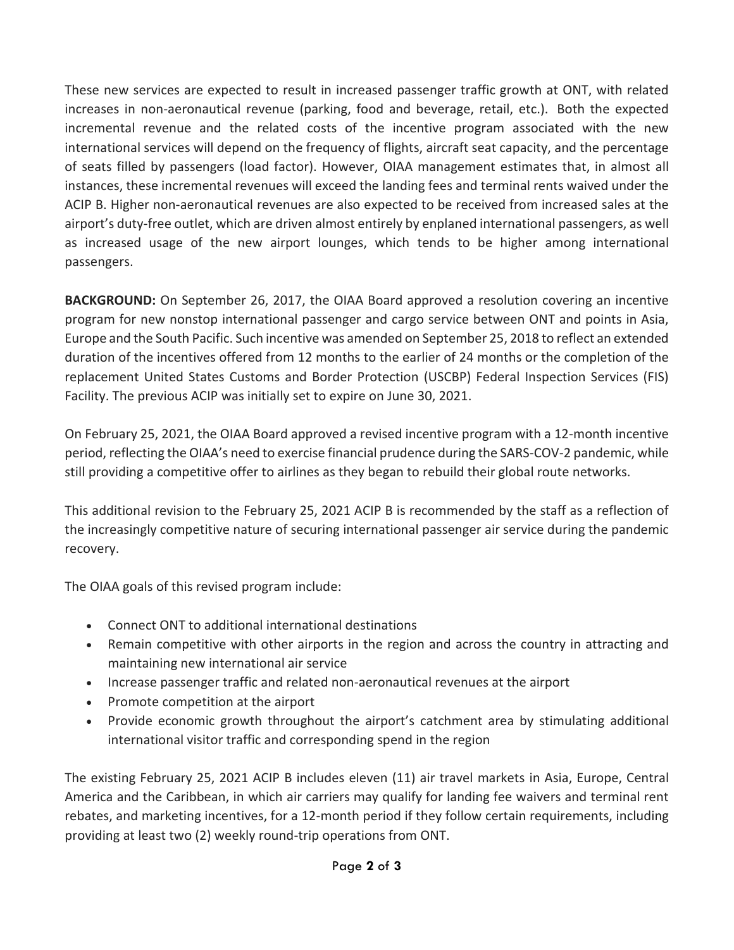These new services are expected to result in increased passenger traffic growth at ONT, with related increases in non-aeronautical revenue (parking, food and beverage, retail, etc.). Both the expected incremental revenue and the related costs of the incentive program associated with the new international services will depend on the frequency of flights, aircraft seat capacity, and the percentage of seats filled by passengers (load factor). However, OIAA management estimates that, in almost all instances, these incremental revenues will exceed the landing fees and terminal rents waived under the ACIP B. Higher non-aeronautical revenues are also expected to be received from increased sales at the airport's duty-free outlet, which are driven almost entirely by enplaned international passengers, as well as increased usage of the new airport lounges, which tends to be higher among international passengers.

**BACKGROUND:** On September 26, 2017, the OIAA Board approved a resolution covering an incentive program for new nonstop international passenger and cargo service between ONT and points in Asia, Europe and the South Pacific. Such incentive was amended on September 25, 2018 to reflect an extended duration of the incentives offered from 12 months to the earlier of 24 months or the completion of the replacement United States Customs and Border Protection (USCBP) Federal Inspection Services (FIS) Facility. The previous ACIP was initially set to expire on June 30, 2021.

On February 25, 2021, the OIAA Board approved a revised incentive program with a 12-month incentive period, reflecting the OIAA's need to exercise financial prudence during the SARS-COV-2 pandemic, while still providing a competitive offer to airlines as they began to rebuild their global route networks.

This additional revision to the February 25, 2021 ACIP B is recommended by the staff as a reflection of the increasingly competitive nature of securing international passenger air service during the pandemic recovery.

The OIAA goals of this revised program include:

- Connect ONT to additional international destinations
- Remain competitive with other airports in the region and across the country in attracting and maintaining new international air service
- Increase passenger traffic and related non-aeronautical revenues at the airport
- Promote competition at the airport
- Provide economic growth throughout the airport's catchment area by stimulating additional international visitor traffic and corresponding spend in the region

The existing February 25, 2021 ACIP B includes eleven (11) air travel markets in Asia, Europe, Central America and the Caribbean, in which air carriers may qualify for landing fee waivers and terminal rent rebates, and marketing incentives, for a 12-month period if they follow certain requirements, including providing at least two (2) weekly round-trip operations from ONT.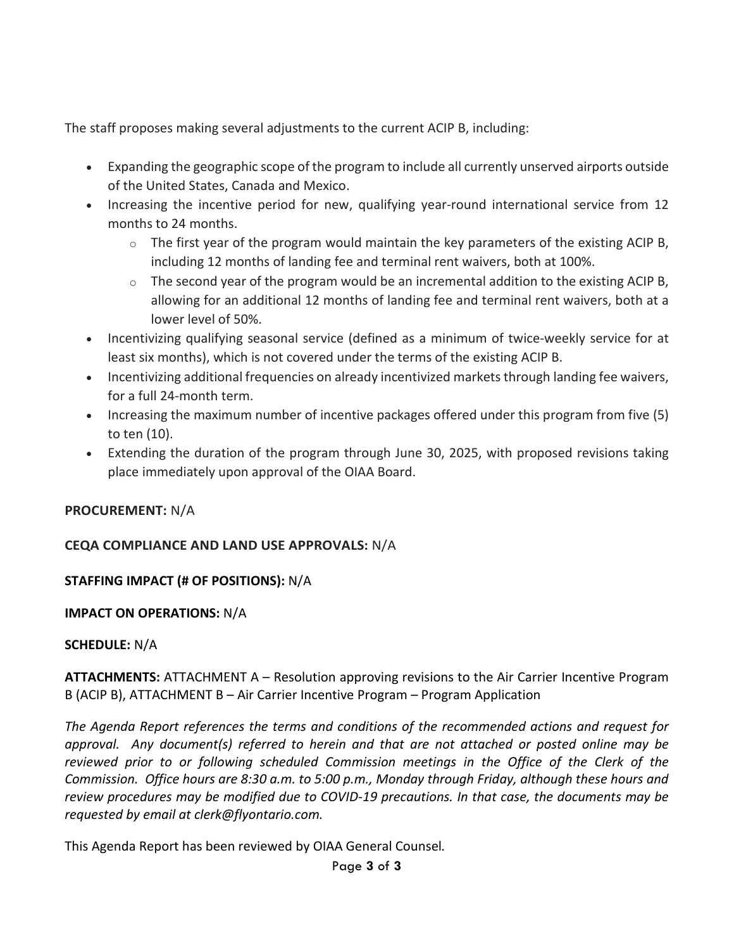The staff proposes making several adjustments to the current ACIP B, including:

- Expanding the geographic scope of the program to include all currently unserved airports outside of the United States, Canada and Mexico.
- Increasing the incentive period for new, qualifying year-round international service from 12 months to 24 months.
	- $\circ$  The first year of the program would maintain the key parameters of the existing ACIP B, including 12 months of landing fee and terminal rent waivers, both at 100%.
	- $\circ$  The second year of the program would be an incremental addition to the existing ACIP B, allowing for an additional 12 months of landing fee and terminal rent waivers, both at a lower level of 50%.
- Incentivizing qualifying seasonal service (defined as a minimum of twice-weekly service for at least six months), which is not covered under the terms of the existing ACIP B.
- Incentivizing additional frequencies on already incentivized markets through landing fee waivers, for a full 24-month term.
- Increasing the maximum number of incentive packages offered under this program from five (5) to ten (10).
- Extending the duration of the program through June 30, 2025, with proposed revisions taking place immediately upon approval of the OIAA Board.

# **PROCUREMENT:** N/A

# **CEQA COMPLIANCE AND LAND USE APPROVALS:** N/A

# **STAFFING IMPACT (# OF POSITIONS):** N/A

# **IMPACT ON OPERATIONS:** N/A

### **SCHEDULE:** N/A

**ATTACHMENTS:** ATTACHMENT A – Resolution approving revisions to the Air Carrier Incentive Program B (ACIP B), ATTACHMENT B – Air Carrier Incentive Program – Program Application

*The Agenda Report references the terms and conditions of the recommended actions and request for approval. Any document(s) referred to herein and that are not attached or posted online may be reviewed prior to or following scheduled Commission meetings in the Office of the Clerk of the Commission. Office hours are 8:30 a.m. to 5:00 p.m., Monday through Friday, although these hours and review procedures may be modified due to COVID-19 precautions. In that case, the documents may be requested by email at clerk@flyontario.com.* 

This Agenda Report has been reviewed by OIAA General Counsel*.*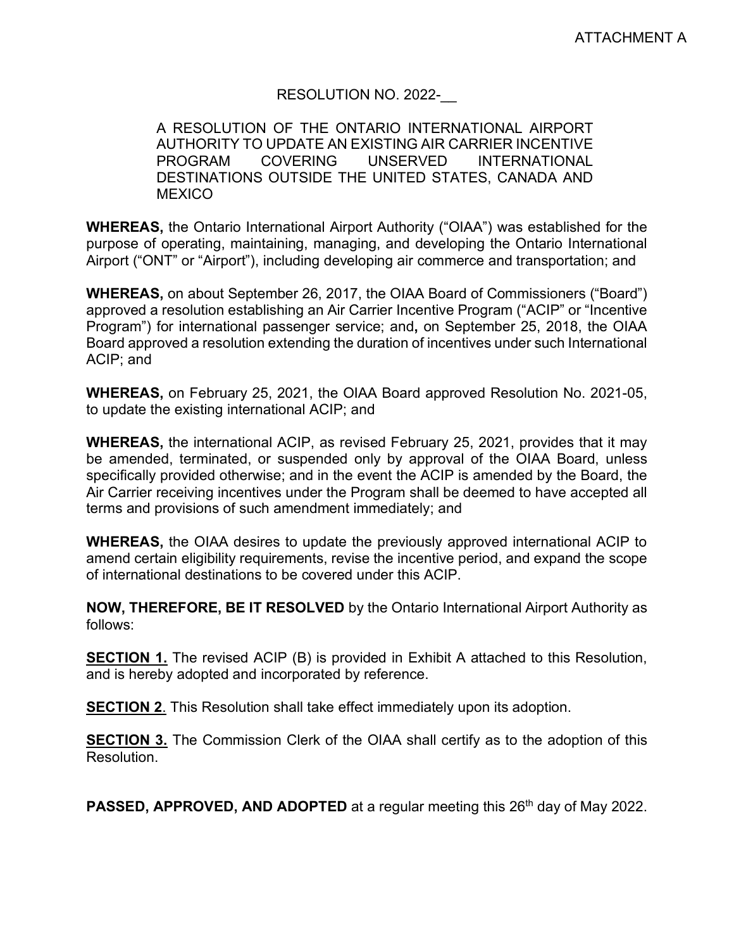# RESOLUTION NO. 2022-

# A RESOLUTION OF THE ONTARIO INTERNATIONAL AIRPORT AUTHORITY TO UPDATE AN EXISTING AIR CARRIER INCENTIVE PROGRAM COVERING UNSERVED INTERNATIONAL DESTINATIONS OUTSIDE THE UNITED STATES, CANADA AND **MEXICO**

**WHEREAS,** the Ontario International Airport Authority ("OIAA") was established for the purpose of operating, maintaining, managing, and developing the Ontario International Airport ("ONT" or "Airport"), including developing air commerce and transportation; and

**WHEREAS,** on about September 26, 2017, the OIAA Board of Commissioners ("Board") approved a resolution establishing an Air Carrier Incentive Program ("ACIP" or "Incentive Program") for international passenger service; and**,** on September 25, 2018, the OIAA Board approved a resolution extending the duration of incentives under such International ACIP; and

**WHEREAS,** on February 25, 2021, the OIAA Board approved Resolution No. 2021-05, to update the existing international ACIP; and

**WHEREAS,** the international ACIP, as revised February 25, 2021, provides that it may be amended, terminated, or suspended only by approval of the OIAA Board, unless specifically provided otherwise; and in the event the ACIP is amended by the Board, the Air Carrier receiving incentives under the Program shall be deemed to have accepted all terms and provisions of such amendment immediately; and

**WHEREAS,** the OIAA desires to update the previously approved international ACIP to amend certain eligibility requirements, revise the incentive period, and expand the scope of international destinations to be covered under this ACIP.

**NOW, THEREFORE, BE IT RESOLVED** by the Ontario International Airport Authority as follows:

**SECTION 1.** The revised ACIP (B) is provided in Exhibit A attached to this Resolution, and is hereby adopted and incorporated by reference.

**SECTION 2.** This Resolution shall take effect immediately upon its adoption.

**SECTION 3.** The Commission Clerk of the OIAA shall certify as to the adoption of this Resolution.

**PASSED, APPROVED, AND ADOPTED** at a regular meeting this 26<sup>th</sup> day of May 2022.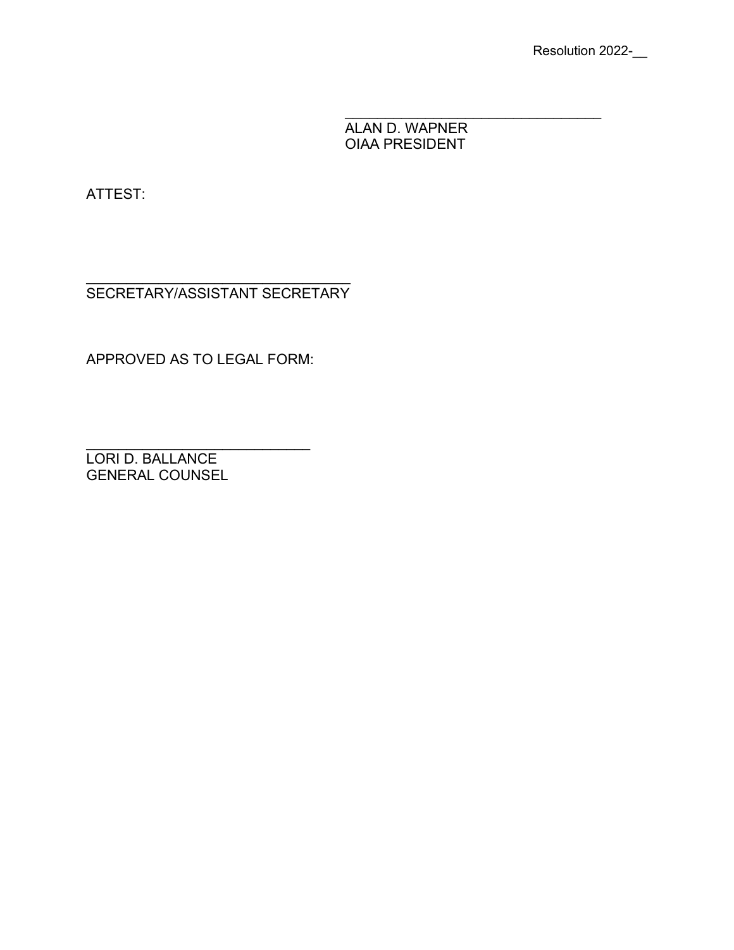ALAN D. WAPNER OIAA PRESIDENT

\_\_\_\_\_\_\_\_\_\_\_\_\_\_\_\_\_\_\_\_\_\_\_\_\_\_\_\_\_\_\_\_

ATTEST:

\_\_\_\_\_\_\_\_\_\_\_\_\_\_\_\_\_\_\_\_\_\_\_\_\_\_\_\_\_\_\_\_\_ SECRETARY/ASSISTANT SECRETARY

APPROVED AS TO LEGAL FORM:

\_\_\_\_\_\_\_\_\_\_\_\_\_\_\_\_\_\_\_\_\_\_\_\_\_\_\_\_ LORI D. BALLANCE GENERAL COUNSEL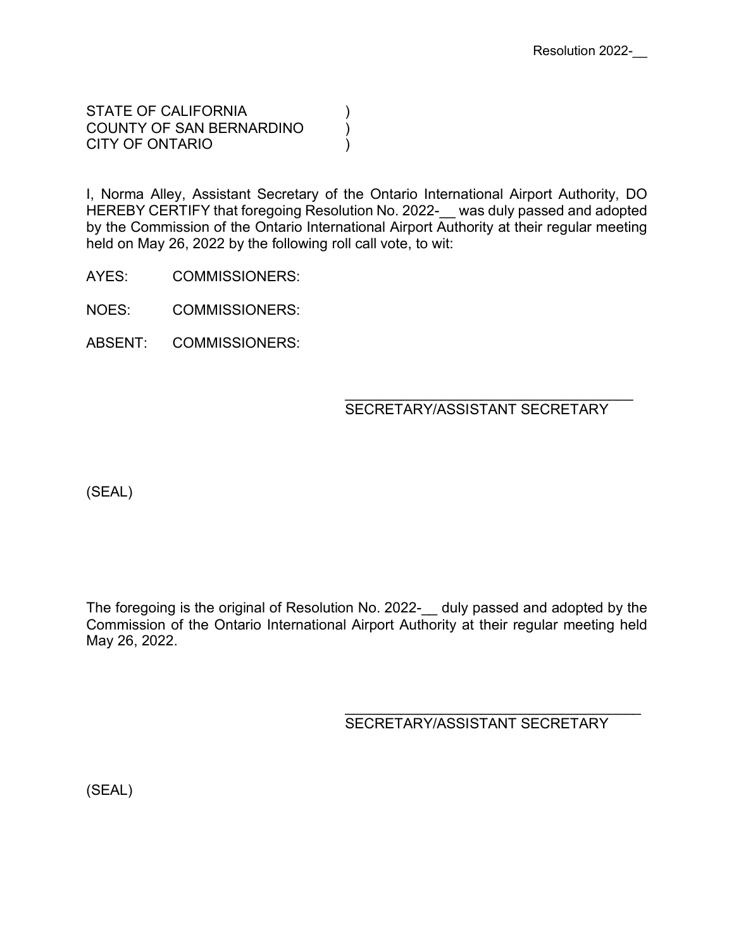STATE OF CALIFORNIA (1) COUNTY OF SAN BERNARDINO (a) CITY OF ONTARIO )

I, Norma Alley, Assistant Secretary of the Ontario International Airport Authority, DO HEREBY CERTIFY that foregoing Resolution No. 2022-\_\_ was duly passed and adopted by the Commission of the Ontario International Airport Authority at their regular meeting held on May 26, 2022 by the following roll call vote, to wit:

AYES: COMMISSIONERS:

NOES: COMMISSIONERS:

ABSENT: COMMISSIONERS:

 $\overline{\phantom{a}}$ SECRETARY/ASSISTANT SECRETARY

(SEAL)

The foregoing is the original of Resolution No. 2022- duly passed and adopted by the Commission of the Ontario International Airport Authority at their regular meeting held May 26, 2022.

 $\overline{\phantom{a}}$ SECRETARY/ASSISTANT SECRETARY

(SEAL)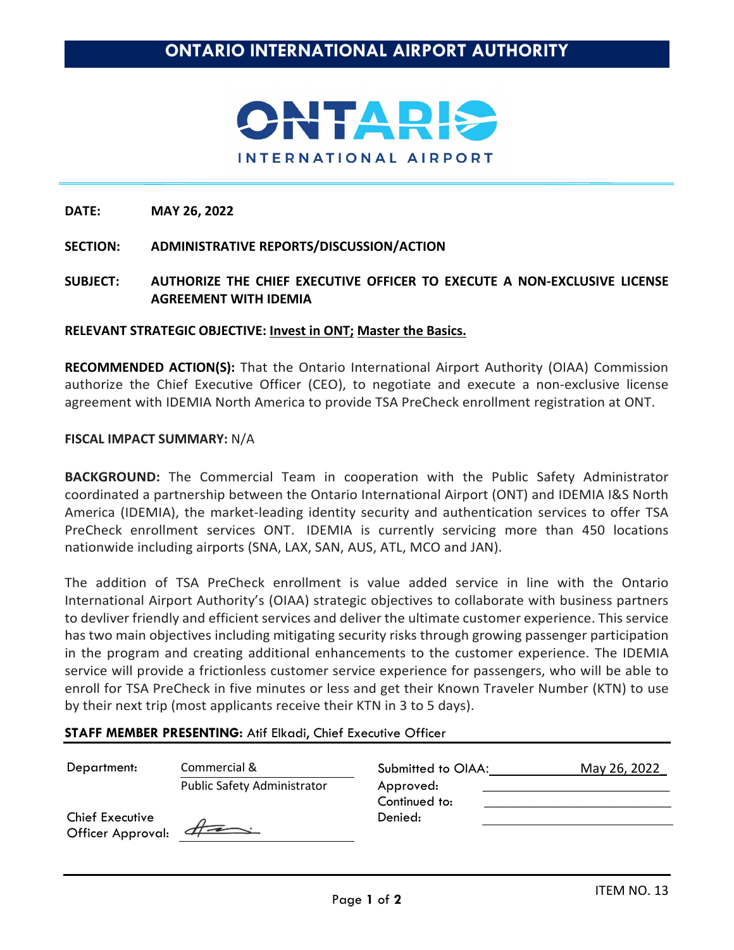

### **SECTION: ADMINISTRATIVE REPORTS/DISCUSSION/ACTION**

**SUBJECT: AUTHORIZE THE CHIEF EXECUTIVE OFFICER TO EXECUTE A NON-EXCLUSIVE LICENSE AGREEMENT WITH IDEMIA** 

#### **RELEVANT STRATEGIC OBJECTIVE: Invest in ONT; Master the Basics.**

**RECOMMENDED ACTION(S):** That the Ontario International Airport Authority (OIAA) Commission authorize the Chief Executive Officer (CEO), to negotiate and execute a non-exclusive license agreement with IDEMIA North America to provide TSA PreCheck enrollment registration at ONT.

#### **FISCAL IMPACT SUMMARY:** N/A

**BACKGROUND:** The Commercial Team in cooperation with the Public Safety Administrator coordinated a partnership between the Ontario International Airport (ONT) and IDEMIA I&S North America (IDEMIA), the market-leading identity security and authentication services to offer TSA PreCheck enrollment services ONT. IDEMIA is currently servicing more than 450 locations nationwide including airports (SNA, LAX, SAN, AUS, ATL, MCO and JAN).

The addition of TSA PreCheck enrollment is value added service in line with the Ontario International Airport Authority's (OIAA) strategic objectives to collaborate with business partners to devliver friendly and efficient services and deliver the ultimate customer experience. This service has two main objectives including mitigating security risks through growing passenger participation in the program and creating additional enhancements to the customer experience. The IDEMIA service will provide a frictionless customer service experience for passengers, who will be able to enroll for TSA PreCheck in five minutes or less and get their Known Traveler Number (KTN) to use by their next trip (most applicants receive their KTN in 3 to 5 days).

### **STAFF MEMBER PRESENTING:** Atif Elkadi, Chief Executive Officer

| Department:                                 | Commercial &                | Submitted to OIAA:         | May 26, 2022 |
|---------------------------------------------|-----------------------------|----------------------------|--------------|
|                                             | Public Safety Administrator | Approved:<br>Continued to: |              |
| <b>Chief Executive</b><br>Officer Approval: | $\#$                        | Denied:                    |              |